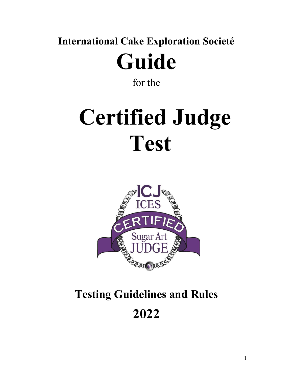**International Cake Exploration Societé Guide**

for the

# **Certified Judge Test**



# **Testing Guidelines and Rules 2022**

1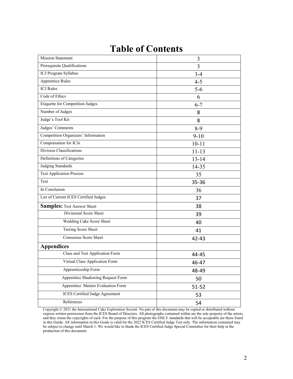### **Table of Contents**

| <b>Mission Statement</b>                | 3         |
|-----------------------------------------|-----------|
| Prerequisite Qualifications             | 3         |
| ICJ Program Syllabus                    | $3 - 4$   |
| <b>Apprentice Rules</b>                 | $4 - 5$   |
| <b>ICJ</b> Rules                        | $5 - 6$   |
| Code of Ethics                          | 6         |
| <b>Etiquette for Competition Judges</b> | $6 - 7$   |
| Number of Judges                        | 8         |
| Judge's Tool Kit                        | 8         |
| Judges' Comments                        | $8-9$     |
| Competition Organizers' Information     | $9 - 10$  |
| Compensation for ICJs                   | $10 - 11$ |
| Division Classifications                | $11 - 13$ |
| Definitions of Categories               | $13 - 14$ |
| <b>Judging Standards</b>                | 14-35     |
| <b>Test Application Process</b>         | 35        |
| Test                                    | 35-36     |
| In Conclusion                           | 36        |
| List of Current ICES Certified Judges   | 37        |
| <b>Samples: Test Answer Sheet</b>       | 38        |
| Divisional Score Sheet                  | 39        |
| Wedding Cake Score Sheet                | 40        |
| <b>Tasting Score Sheet</b>              | 41        |
| Consensus Score Sheet                   | 42-43     |
| <b>Appendices</b>                       |           |
| Class and Test Application Form         | 44-45     |
| Virtual Class Application Form          | 46-47     |
| Apprenticeship Form                     | 48-49     |
| Apprentice Shadowing Request Form       | 50        |
| Apprentice Mentor Evaluation Form       |           |
| ICES Certified Judge Agreement          | $51 - 52$ |
|                                         | 53        |
| References                              | 54        |

Copyright © 2021 the International Cake Exploration Societé. No part of this document may be copied or distributed without express written permission from the ICES Board of Directors. All photographs contained within are the sole property of the artists, and they retain the copyrights ofeach. For the purpose of this program the ONLY standards that will be acceptable are those listed in this Guide. All information in this Guide isvalid for the 2022 ICES Certified Judge Test only. The information contained may be subject to change until March 1. We would like to thank the ICES Certified Judge Special Committee for their help in the production of this document.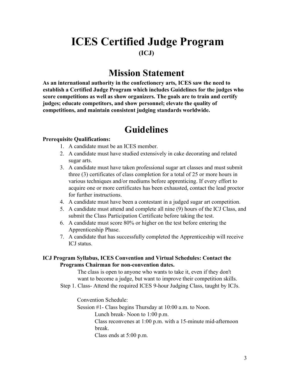### **ICES Certified Judge Program (ICJ)**

### **Mission Statement**

**As an international authority in the confectionery arts, ICES saw the need to establish a Certified Judge Program which includes Guidelines for the judges who score competitions as well as show organizers. The goals are to train and certify judges; educate competitors, and show personnel; elevate the quality of competitions, and maintain consistent judging standards worldwide.**

### **Guidelines**

#### **Prerequisite Qualifications:**

- 1. A candidate must be an ICES member.
- 2. A candidate must have studied extensively in cake decorating and related sugar arts.
- 3. A candidate must have taken professional sugar art classes and must submit three (3) certificates of class completion for a total of 25 or more hours in various techniques and/or mediums before apprenticing. If every effort to acquire one or more certificates has been exhausted, contact the lead proctor for further instructions.
- 4. A candidate must have been a contestant in a judged sugar art competition.
- 5. A candidate must attend and complete all nine (9) hours of the ICJ Class, and submit the Class Participation Certificate before taking the test.
- 6. A candidate must score 80% or higher on the test before entering the Apprenticeship Phase.
- 7. A candidate that has successfully completed the Apprenticeship will receive ICJ status.

#### **ICJ Program Syllabus, ICES Convention and Virtual Schedules: Contact the Programs Chairman for non-convention dates.**

The class is open to anyone who wants to take it, even if they don't want to become a judge, but want to improve their competition skills.

Step 1. Class- Attend the required ICES 9-hour Judging Class, taught by ICJs.

Convention Schedule:

Session #1- Class begins Thursday at 10:00 a.m. to Noon.

Lunch break- Noon to 1:00 p.m.

Class reconvenes at 1:00 p.m. with a 15-minute mid-afternoon break.

Class ends at 5:00 p.m.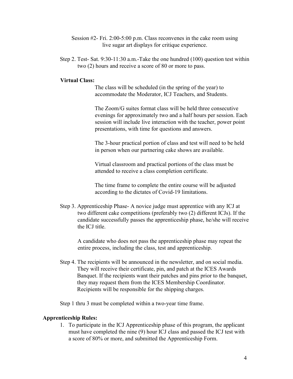- Session #2- Fri. 2:00-5:00 p.m. Class reconvenes in the cake room using live sugar art displays for critique experience.
- Step 2. Test- Sat. 9:30-11:30 a.m.-Take the one hundred (100) question test within two (2) hours and receive a score of 80 or more to pass.

#### **Virtual Class:**

The class will be scheduled (in the spring of the year) to accommodate the Moderator, ICJ Teachers, and Students.

The Zoom/G suites format class will be held three consecutive evenings for approximately two and a half hours per session. Each session will include live interaction with the teacher, power point presentations, with time for questions and answers.

The 3-hour practical portion of class and test will need to be held in person when our partnering cake shows are available.

Virtual classroom and practical portions of the class must be attended to receive a class completion certificate.

The time frame to complete the entire course will be adjusted

according to the dictates of Covid-19 limitations.<br>Step 3. Apprenticeship Phase- A novice judge must apprentice with any ICJ at two different cake competitions (preferably two (2) different ICJs). If the candidate successfully passes the apprenticeship phase, he/she will receive the ICJ title.<br>A candidate who does not pass the apprenticeship phase may repeat the

entire process, including the class, test and apprenticeship.

Step 4. The recipients will be announced in the newsletter, and on social media. They will receive their certificate, pin, and patch at the ICES Awards Banquet. If the recipients want their patches and pins prior to the banquet, they may request them from the ICES Membership Coordinator. Recipients will be responsible for the shipping charges.

Step 1 thru 3 must be completed within a two-year time frame.

#### **Apprenticeship Rules:**

1. To participate in the ICJ Apprenticeship phase of this program, the applicant must have completed the nine (9) hour ICJ class and passed the ICJ test with a score of 80% or more, and submitted the Apprenticeship Form.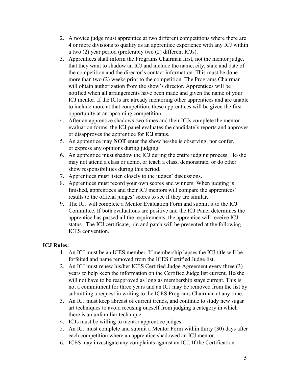- 2. A novice judge must apprentice at two different competitions where there are 4 or more divisions to qualify as an apprentice experience with any ICJ within a two  $(2)$  year period (preferably two  $(2)$  different ICJs).
- 3. Apprentices shall inform the Programs Chairman first, not the mentor judge, that they want to shadow an ICJ and include the name, city, state and date of the competition and the director's contact information. This mustbe done more than two (2) weeks prior to the competition. The Programs Chairman will obtain authorization from the show's director. Apprentices will be notified when all arrangements have been made and given the name of your ICJ mentor. If the ICJs are already mentoring other apprentices and are unable to include more at that competition, these apprentices will be given the first opportunity at an upcoming competition.
- 4. After an apprentice shadows two times and their ICJs complete the mentor evaluation forms, the ICJ panel evaluates the candidate's reports and approves or disapproves the apprentice for ICJ status.
- 5. An apprentice may **NOT** enter the show he/she is observing, nor confer, or express any opinions during judging.
- 6. An apprentice must shadow the ICJ during the entire judging process. He/she may not attend a class or demo, or teach a class, demonstrate, or do other
- show responsibilities during this period.<br>7. Apprentices must listen closely to the judges' discussions.
- 8. Apprentices must record your own scores and winners. When judging is finished, apprentices and their ICJ mentors will compare the apprentices'
- results to the official judges' scores to see if they are similar.<br>9. The ICJ will complete a Mentor Evaluation Form and submit it to the ICJ Committee. If both evaluations are positive and the ICJ Panel determines the apprentice has passed all the requirements, the apprentice will receive ICJ status. The ICJ certificate, pin and patch will be presented at the following ICES convention.

#### **ICJ Rules:**

- 1. An ICJ must be an ICES member. If membership lapses the ICJ title will be forfeited and name removed from the ICES Certified Judge list.
- 2. An ICJ must renew his/her ICES Certified Judge Agreement every three (3) years to help keep the information on the Certified Judge list current. He/she will not have to be reapproved as long as membership stays current. This is not a commitment for three years and an ICJ may be removed from the list by submitting a request in writing to the ICES Programs Chairman at any time.
- 3. An ICJ must keep abreast of current trends, and continue to study new sugar art techniques to avoid recusing oneself from judging a category in which there is an unfamiliar technique.
- 4. ICJs must be willing to mentor apprentice judges.
- 5. An ICJ must complete and submit a Mentor Form within thirty (30) days after each competition where an apprentice shadowed an ICJ mentor.
- 6. ICES may investigate any complaints against an ICJ. If the Certification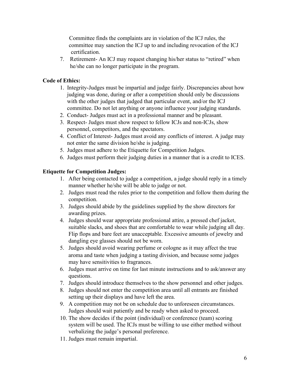Committee finds the complaints are in violation of the ICJ rules, the committee may sanction the ICJ up to and including revocation of the ICJ certification.

7. Retirement- An ICJ may request changing his/her status to "retired" when he/she can no longer participate in the program.

#### **Code of Ethics:**

- 1. Integrity-Judges must be impartial and judge fairly. Discrepancies about how judging was done, during or after a competition should only be discussions with the other judges that judged that particular event, and/or the ICJ committee. Do not let anything or anyone influence your judging standards.
- 2. Conduct- Judges must act in a professional manner and be pleasant.
- 3. Respect- Judges must show respect to fellow ICJs and non-ICJs, show personnel, competitors, and the spectators.
- 4. Conflict of Interest- Judges must avoid any conflicts of interest. A judge may not enter the same division he/she is judging.
- 5. Judges must adhere to the Etiquette for Competition Judges.
- 6. Judges must perform their judging duties in a manner that is a credit to ICES.

#### **Etiquette for Competition Judges:**

- 1. After being contacted to judge a competition, a judge should reply in a timely manner whether he/she will be able to judge or not.
- 2. Judges must read the rules prior to the competition and follow them during the competition.
- 3. Judges should abide by the guidelines supplied by the show directors for awarding prizes.
- 4. Judges should wear appropriate professional attire, a pressed chef jacket, suitable slacks, and shoes that are comfortable to wear while judging all day. Flip flops and bare feet are unacceptable. Excessive amounts of jewelry and dangling eye glasses should not be worn.
- 5. Judges should avoid wearing perfume or cologne as it may affect the true aroma and taste when judging a tasting division, and because some judges may have sensitivities to fragrances.
- 6. Judges mustarrive on time for last minute instructions and to ask/answer any questions.
- 7. Judges should introduce themselves to the show personnel and other judges.
- 8. Judges should not enter the competition area until all entrants are finished setting up their displays and have left the area.
- 9. A competition may not be on schedule due to unforeseen circumstances. Judges should wait patiently and be ready when asked to proceed.
- 10. The show decides if the point (individual) or conference (team) scoring system will be used. The ICJs must be willing to use either method without verbalizing the judge's personal preference.
- 11. Judges must remain impartial.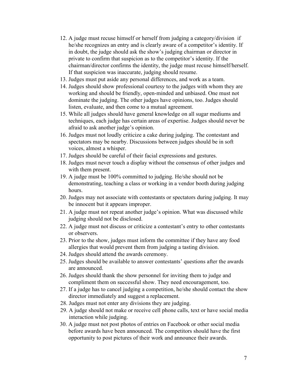- 12. A judge must recuse himself or herself from judging a category/division if he/she recognizes an entry and is clearly aware of a competitor's identity. If in doubt, the judge should ask the show's judging chairman or director in private to confirm that suspicion as to the competitor's identity. If the chairman/director confirms the identity, the judge must recuse himself/herself. If that suspicion was inaccurate, judging should resume.
- 13. Judges must put aside any personal differences, and work as a team.
- 14. Judges should show professional courtesy to the judges with whom they are working and should be friendly, open-minded and unbiased. One must not dominate the judging. The other judges have opinions, too. Judges should listen, evaluate, and then come to a mutual agreement.
- 15. While all judges should have general knowledge on all sugar mediums and techniques, each judge has certain areas of expertise. Judges should never be afraid to ask another judge's opinion.
- 16. Judges must not loudly criticize a cake during judging. The contestant and spectators may be nearby. Discussions between judges should be in soft voices, almost a whisper.<br>17. Judges should be careful of their facial expressions and gestures.
- 
- 18. Judges must never touch a display without the consensus of other judges and with them present.
- 19. A judge must be 100% committed to judging. He/she should not be demonstrating, teaching a class or working in a vendor booth during judging hours.
- 20. Judges may not associate with contestants or spectators during judging. It may be innocent but it appears improper.
- 21. A judge must not repeat another judge's opinion. What was discussed while judging should not be disclosed.
- 22. A judge must not discuss or criticize a contestant's entry to other contestants or observers.
- 23. Prior to the show, judges must inform the committee if they have any food allergies that would prevent them from judging a tasting division.
- 24. Judges should attend the awards ceremony.
- 25. Judges should be available to answer contestants' questions after the awards are announced.
- 26. Judges should thank the show personnel for inviting them to judge and compliment them on successful show. They need encouragement, too.
- 27. If a judge has to cancel judging a competition, he/she should contact the show director immediately and suggest a replacement.
- 28. Judges must not enter any divisions they are judging.
- 29. A judge should not make or receive cell phone calls, text or have social media interaction while judging.
- 30. A judge must not post photos ofentries on Facebook or other social media before awards have been announced. The competitors should have the first opportunity to post pictures of their work and announce their awards.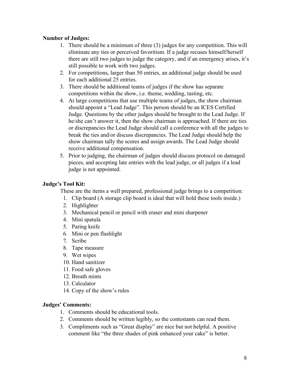#### **Number of Judges:**

- 1. There should be a minimum of three (3) judges for any competition. This will eliminate any ties or perceived favoritism. If a judge recuses himself/herself there are still two judges to judge the category, and if an emergency arises, it's still possible to work with two judges.
- 2. For competitions, larger than 50 entries, an additional judge should be used for each additional 25 entries.
- 3. There should be additional teams of judges if the show has separate competitions within the show, i.e. theme, wedding, tasting, etc.
- 4. At large competitions that use multiple teams of judges, the show chairman should appoint a "Lead Judge". This person should be an ICES Certified Judge. Questions by the other judges should be brought to the Lead Judge. If he/she can't answer it, then the show chairman is approached. If there are ties or discrepancies the Lead Judge should call a conference with all the judges to break the ties and/or discuss discrepancies. The Lead Judge should help the show chairman tally the scores and assign awards. The Lead Judge should receive additional compensation.
- 5. Prior to judging, the chairman of judges should discuss protocol on damaged pieces, and accepting late entries with the lead judge, or all judges if a lead judge is not appointed.

#### **Judge's Tool Kit:**

These are the items a well prepared, professional judge brings to a competition:

- 1. Clip board (A storage clip board is ideal that will hold these tools inside.)
- 2. Highlighter
- 3. Mechanical pencil or pencil with eraser and mini sharpener
- 4. Mini spatula
- 5. Paring knife
- 6. Mini or pen flashlight
- 7. Scribe
- 8. Tape measure
- 9. Wet wipes
- 10. Hand sanitizer
- 11. Food safe gloves
- 12. Breath mints
- 13. Calculator
- 14. Copy of the show's rules

#### **Judges' Comments:**

- 1. Comments should be educational tools.
- 2. Comments should be written legibly, so the contestants can read them.
- 3. Compliments such as "Great display" are nice but not helpful. A positive comment like "the three shades of pink enhanced your cake" is better.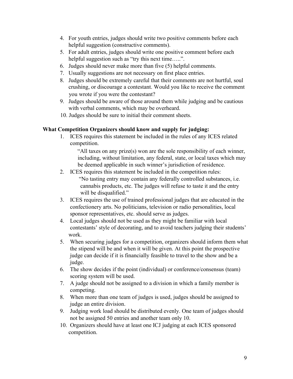- 4. For youth entries, judges should write two positive comments before each helpful suggestion (constructive comments).
- 5. For adult entries, judges should write one positive comment before each helpful suggestion such as "try this next time.....".
- 6. Judges should never make more than five  $(5)$  helpful comments.
- 7. Usually suggestions are not necessary on first place entries.
- 8. Judges should be extremely careful that their comments are not hurtful, soul crushing, or discourage a contestant. Would you like to receive the comment you wrote if you were the contestant?
- 9. Judges should be aware of those around them while judging and be cautious with verbal comments, which may be overheard.
- 10. Judges should be sure to initial their comment sheets.

#### **What Competition Organizers should know and supply for judging:**

1. ICES requires this statement be included in the rules of any ICES related competition.

"All taxes on any prize(s) won are the sole responsibility of each winner, including, without limitation, any federal, state, or local taxes which may be deemed applicable in such winner's jurisdiction of residence.

- 2. ICES requires this statement be included in the competition rules: "No tasting entry may contain any federally controlled substances, i.e. cannabis products, etc. The judges will refuse to taste it and the entry will be disqualified."
- 3. ICES requires the use of trained professional judges that are educated in the confectionery arts. No politicians, television or radio personalities, local sponsor representatives, etc. should serve as judges.
- 4. Local judges should not be used as they might be familiar with local contestants' style of decorating, and to avoid teachers judging their students' work.
- 5. When securing judges for a competition, organizers should inform them what the stipend will be and when it will be given. At this point the prospective judge can decide if it is financially feasible to travel to the show and be a judge.
- 6. The show decides if the point (individual) or conference/consensus (team) scoring system will be used.
- 7. A judge should not be assigned to a division in which a family member is competing.
- 8. When more than one team of judges is used, judges should be assigned to judge an entire division.<br>9. Judging work load should be distributed evenly. One team of judges should
- not be assigned 50 entries and another team only 10.
- 10. Organizers should have at least one ICJ judging at each ICES sponsored competition.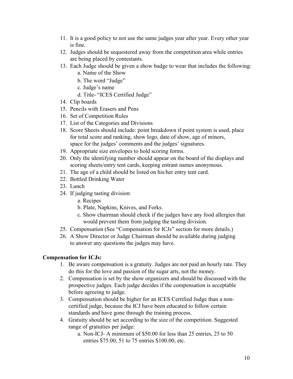- 11. It is a good policy to not use the same judges year after year. Every other year is fine.
- 12. Judges should be sequestered away from the competition area while entries are being placed by contestants.
- 13. Each Judge should be given a show badge to wear that includes the following:
	- a. Name of the Show
	- b. The word "Judge"
	- c. Judge's name
	- d. Title- "ICES Certified Judge"
- 14. Clip boards
- 15. Pencils with Erasers and Pens
- 16. Set of Competition Rules
- 17. List of the Categories and Divisions
- 18. Score Sheets should include: point breakdown if point system is used, place for total score and ranking, show logo, date of show, age of minors, space for the judges' comments and the judges' signatures.
- 19. Appropriate size envelopes to hold scoring forms.
- 20. Only the identifying number should appear on the board of the displays and scoring sheets/entry tent cards, keeping entrant names anonymous.
- 21. The age of a child should be listed on his/her entry tent card.
- 22. Bottled Drinking Water
- 23. Lunch
- 24. If judging tasting division:
	- a. Recipes
	- b. Plate, Napkins, Knives, and Forks.
	- c. Show chairman should check if the judges have any food allergies that would prevent them from judging the tasting division.
- 25. Compensation (See "Compensation for ICJs" section for more details.)
- 26. A Show Director or Judge Chairman should be available during judging to answer any questions the judges may have.

#### **Compensation for ICJs:**

- 1. Be aware compensation is a gratuity. Judges are not paid an hourly rate. They do this for the love and passion of the sugar arts, not the money.
- 2. Compensation is set by the show organizers and should be discussed with the prospective judges. Each judge decides if the compensation is acceptable before agreeing to judge.
- 3. Compensation should be higher for an ICES Certified Judge than <sup>a</sup> non-certified judge, because the ICJ have been educated to follow certain standards and have gone through the training process.
- 4. Gratuity should be set according to the size of the competition. Suggested range of gratuities per judge:
	- a. Non-ICJ- A minimum of \$50.00 for less than 25 entries, 25 to 50 entries \$75.00, 51 to 75 entries \$100.00, etc.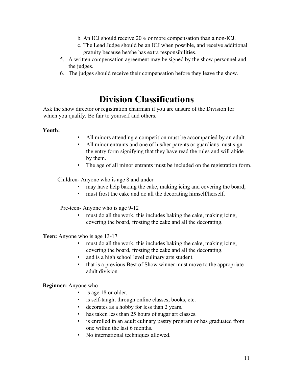- b. An ICJ should receive 20% or more compensation than a non-ICJ.
- c. The Lead Judge should be an ICJ when possible, and receive additional gratuity because he/she has extra responsibilities.
- 5. A written compensation agreement may be signed by the show personnel and the judges.
- 6. The judges should receive their compensation before they leave the show.

### **Division Classifications**

Ask the show director or registration chairman if you are unsure of the Division for which you qualify. Be fair to yourself and others.

#### **Youth:**

- All minors attending a competition must be accompanied by an adult.
- All minor entrants and one of his/her parents or guardians must sign the entry form signifying that they have read the rules and will abide by them.
- The age of all minor entrants must be included on the registration form.

Children- Anyone who is age 8 and under

- may have help baking the cake, making icing and covering the board,
- must frost the cake and do all the decorating himself/herself.

Pre-teen- Anyone who is age 9-12

must do all the work, this includes baking the cake, making icing, covering the board, frosting the cake and all the decorating.

**Teen:** Anyone who is age 13-17

- must do all the work, this includes baking the cake, making icing, covering the board, frosting the cake and all the decorating.
- and is a high school level culinary arts student.
- that is a previous Best of Show winner must move to the appropriate adult division.

#### **Beginner:** Anyone who

- is age 18 or older.
- is self-taught through online classes, books, etc.
- decorates as a hobby for less than 2 years.
- has taken less than 25 hours of sugar art classes.
- is enrolled in an adult culinary pastry program or has graduated from one within the last 6 months.
- No international techniques allowed.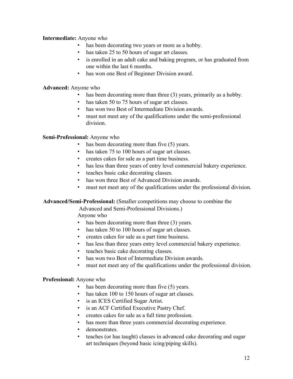#### **Intermediate:** Anyone who

- has been decorating two years or more as a hobby.
- has taken 25 to 50 hours of sugar art classes.
- is enrolled in an adult cake and baking program, or has graduated from one within the last 6 months.
- has won one Best of Beginner Division award.

#### **Advanced:** Anyone who

- has been decorating more than three (3) years, primarily as a hobby.
- $\cdot$  has taken 50 to 75 hours of sugar art classes.
- has won two Best of Intermediate Division awards.
- must not meet any of the qualifications under the semi-professional division.

#### **Semi-Professional:** Anyone who

- has been decorating more than five (5) years.
- has taken 75 to 100 hours of sugar art classes.
- creates cakes for sale as a part time business.
- has less than three years of entry level commercial bakery experience.
- teaches basic cake decorating classes.
- has won three Best of Advanced Division awards.
- must not meet any of the qualifications under the professional division.

#### **Advanced/Semi-Professional:** (Smaller competitions may choose to combine the

Advanced and Semi-Professional Divisions.)

Anyone who

- has been decorating more than three (3) years.
- has taken 50 to 100 hours of sugar art classes.
- creates cakes for sale as a part time business.
- has less than three years entry level commercial bakery experience.
- teaches basic cake decorating classes.
- has won two Best of Intermediate Division awards.
- must not meet any of the qualifications under the professional division.

#### **Professional:** Anyone who

- has been decorating more than five  $(5)$  years.
- has taken  $100$  to  $150$  hours of sugar art classes.
- is an ICES Certified Sugar Artist.
- is an ACF Certified Executive Pastry Chef.
- creates cakes for sale asa full time profession.
- has more than three years commercial decorating experience.
- demonstrates.
- teaches (or has taught) classes in advanced cake decorating and sugar art techniques (beyond basic icing/piping skills).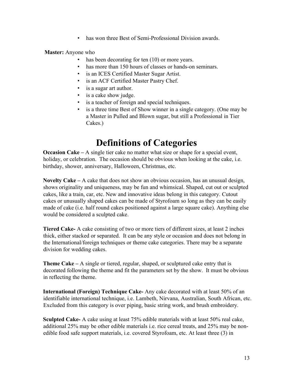• has won three Best of Semi-Professional Division awards.

**Master:** Anyone who

- has been decorating for ten (10) or more years.
- has more than 150 hours of classes or hands-on seminars.
- is an ICES Certified Master Sugar Artist.
- is an ACF Certified Master Pastry Chef.
- is a sugar art author.
- is a cake show judge.
- is a teacher of foreign and special techniques.
- is a three time Best of Show winner in a single category. (One may be a Master in Pulled and Blown sugar, but still a Professional in Tier Cakes.)

### **Definitions of Categories**

**Occasion Cake –** A single tier cake no matter what size or shape for a special event, holiday, or celebration. The occasion should be obvious when looking at the cake, i.e. birthday, shower, anniversary, Halloween, Christmas, etc.

**Novelty Cake –** A cake that does not show an obvious occasion, has an unusual design, shows originality and uniqueness, may be fun and whimsical. Shaped, cut out or sculpted cakes, like a train, car, etc. New and innovative ideas belong in this category. Cutout cakes orunusually shaped cakes can be made of Styrofoam so long as they can be easily made of cake (i.e. half round cakes positioned against a large square cake). Anything else would be considered a sculpted cake.

**Tiered Cake-** A cake consisting of two or more tiers of different sizes, at least 2 inches thick, either stacked or separated. It can be any style oroccasion and does not belong in the International/foreign techniques or theme cake categories. There may be a separate division for wedding cakes.

**Theme Cake –** A single or tiered, regular, shaped, or sculptured cake entry that is decorated following the theme and fit the parameters set by the show. It must be obvious in reflecting the theme.

**International (Foreign) Technique Cake-** Any cake decorated with at least 50% of an identifiable international technique, i.e. Lambeth, Nirvana, Australian, South African, etc. Excluded from this category is over piping, basic string work, and brush embroidery.

**Sculpted Cake-** A cake using at least 75% edible materials with at least 50% real cake, additional 25% may be other edible materials i.e. rice cereal treats, and 25% may be non-edible food safe support materials, i.e. covered Styrofoam, etc. At least three (3) in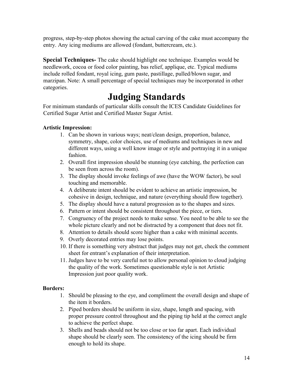progress, step-by-step photos showing the actual carving of the cake must accompany the entry. Any icing mediums are allowed (fondant, buttercream, etc.).

**Special Techniques-** The cake should highlight one technique. Examples would be needlework, cocoa or food color painting, bas relief, applique, etc. Typical mediums include rolled fondant, royal icing, gum paste, pastillage, pulled/blown sugar, and marzipan. Note: A small percentage of special techniques may be incorporated in other categories.

### **Judging Standards**

For minimum standards of particular skills consult the ICES Candidate Guidelines for Certified Sugar Artist and Certified Master Sugar Artist.

#### **Artistic Impression:**

- 1. Can be shown in various ways; neat/clean design, proportion, balance, symmetry, shape, color choices, use of mediums and techniques in new and different ways, using a well know image or style and portraying it in a unique fashion.
- 2. Overall first impression should be stunning (eye catching, the perfection can be seen from across the room).
- 3. The display should invoke feelings of awe (have the WOW factor), be soul touching and memorable.
- 4. A deliberate intent should be evident to achieve an artistic impression, be cohesive in design, technique, and nature (everything should flow together).
- 5. The display should have a natural progression as to the shapes and sizes.
- 6. Pattern or intent should be consistent throughout the piece, or tiers.
- 7. Congruency of the project needs to make sense. You need to be able to see the whole picture clearly and not be distracted by a component that does not fit.
- 8. Attention to details should score higher than a cake with minimal accents.
- 9. Overly decorated entries may lose points.
- 10. If there is something very abstract that judges may not get, check the comment sheet for entrant's explanation of their interpretation.
- 11. Judges have to be very careful not to allow personal opinion to cloud judging the quality of the work. Sometimes questionable style is not Artistic Impression just poor quality work.

#### **Borders:**

- 1. Should be pleasing to the eye, and compliment the overall design and shape of the item it borders.
- 2. Piped borders should be uniform in size, shape, length and spacing, with proper pressure control throughout and the piping tip held at the correct angle to achieve the perfect shape.
- 3. Shells and beads should not be too close or too far apart. Each individual shape should be clearly seen. The consistency of the icing should be firm enough to hold its shape.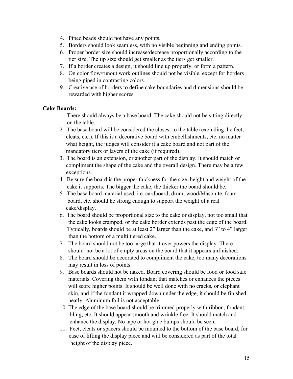- 4. Piped beads should not have any points.
- 5. Borders should look seamless, with no visible beginning and ending points.
- 6. Proper border size should increase/decrease proportionally according to the tier size. The tip size should get smaller as the tiers get smaller.
- 7. If a border creates a design, it should line up properly, or form a pattern.
- 8. On color flow/runout work outlines should not be visible, except for borders being piped in contrasting colors.
- 9. Creative use of borders to define cake boundaries and dimensions should be rewarded with higher scores.

#### **Cake Boards:**

- 1. There should always be a base board. The cake should not be sitting directly on the table.
- 2. The base board will be considered the closest to the table (excluding the feet, cleats, etc.). If this is a decorative board with embellishments, etc. no matter what height, the judges will consider it a cake board and not part of the mandatory tiers or layers of the cake (if required).
- 3. The board is an extension, or another part of the display. It should match or compliment the shape of the cake and the overall design. There may be a few exceptions.
- 4. Be sure the board is the proper thickness for the size, height and weight of the cake it supports. The bigger the cake, the thicker the board should be.
- 5. The base board material used, i.e. cardboard, drum, wood/Masonite, foam board, etc. should be strong enough to support the weight of a real cake/display.
- 6. The board should be proportional size to the cake or display, not too small that the cake looks cramped, or the cake border extends past the edge of the board. Typically, boards should be at least 2" larger than the cake, and 3" to 4" larger than the bottom of a multi tiered cake.
- 7. The board should not be too large that it over powers the display. There should not be a lot of empty areas on the board that it appears unfinished.
- 8. The board should be decorated to compliment the cake, too many decorations may result in loss of points.
- 9. Base boards should not be naked. Board covering should be food or food safe materials. Covering them with fondant that matches or enhances the pieces will score higher points. It should be well done with no cracks, or elephant skin, and if the fondant it wrapped down under the edge, it should be finished neatly. Aluminum foil is not acceptable.
- 10. The edge of the base board should be trimmed properly with ribbon, fondant, bling, etc. It should appear smooth and wrinkle free. It should match and enhance the display. No tape or hot glue bumps should be seen.
- 11. Feet, cleats or spacers should be mounted to the bottom of the base board, for ease of lifting the display piece and will be considered as part of the total height of the display piece.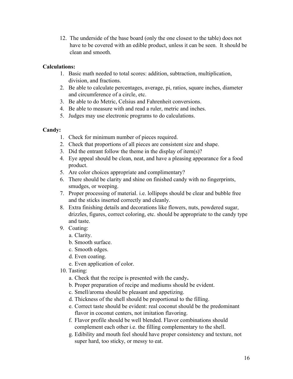12. The underside of the base board (only the one closest to the table) does not have to be covered with an edible product, unless it can be seen. It should be clean and smooth.

#### **Calculations:**

- 1. Basic math needed to total scores: addition, subtraction, multiplication, division, and fractions.
- 2. Be able to calculate percentages, average, pi, ratios, square inches, diameter and circumference of a circle, etc.
- 3. Be able to do Metric, Celsius and Fahrenheit conversions.
- 4. Be able to measure with and read a ruler, metric and inches.
- 5. Judges may use electronic programs to do calculations.

#### **Candy:**

- 1. Check for minimum number of pieces required.
- 2. Check that proportions of all pieces are consistent size and shape.
- 3. Did the entrant follow the theme in the display of item(s)?
- 4. Eye appeal should be clean, neat, and have a pleasing appearance for a food product.
- 5. Are color choices appropriate and complimentary?
- 6. There should be clarity and shine on finished candy with no fingerprints, smudges, or weeping.
- 7. Proper processing of material. i.e. lollipops should be clear and bubble free and the sticks inserted correctly and cleanly.
- 8. Extra finishing details and decorations like flowers, nuts, powdered sugar, drizzles, figures, correct coloring, etc. should be appropriate to the candy type and taste.
- 9. Coating:
	- a. Clarity.
	- b. Smooth surface.
	- c. Smooth edges.
	- d. Even coating.
	- e. Even application of color.
- 10. Tasting:
	- a. Check that the recipe is presented with the candy**.**
	- b. Proper preparation of recipe and mediums should be evident.
	- c. Smell/aroma should be pleasant and appetizing.
	- d. Thickness of the shell should be proportional to the filling.
	- e. Correct taste should be evident: real coconut should be the predominant flavor in coconut centers, not imitation flavoring.
	- f. Flavor profile should be well blended. Flavor combinations should complement each other i.e. the filling complementary to the shell.
	- g. Edibility and mouth feel should have proper consistency and texture, not super hard, too sticky, or messy to eat.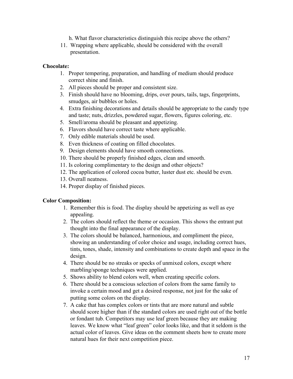- h. What flavor characteristics distinguish this recipe above the others?
- 11. Wrapping where applicable, should be considered with the overall presentation.

#### **Chocolate:**

- 1. Proper tempering, preparation, and handling of medium should produce correct shine and finish.
- 2. All pieces should be proper and consistent size.
- 3. Finish should have no blooming, drips, over pours, tails, tags, fingerprints, smudges, air bubbles or holes.
- 4. Extra finishing decorations and details should be appropriate to the candy type and taste; nuts, drizzles, powdered sugar, flowers, figures coloring, etc.
- 5. Smell/aroma should be pleasant and appetizing.
- 6. Flavors should have correct taste where applicable.
- 7. Only edible materials should be used.
- 8. Even thickness of coating on filled chocolates.9. Design elements should have smooth connections.
- 
- 10. There should be properly finished edges, clean and smooth.
- 11. Is coloring complimentary to the design and other objects?
- 12. The application of colored cocoa butter, luster dust etc. should be even.
- 13. Overall neatness.
- 14. Proper display of finished pieces.

#### **Color Composition:**

- 1. Remember this is food. The display should be appetizing as well as eye appealing.
- 2. The colors should reflect the theme or occasion. This shows the entrant put thought into the final appearance of the display.
- 3. The colors should be balanced, harmonious, and compliment the piece, showing an understanding of color choice and usage, including correct hues, tints, tones, shade, intensity and combinations to create depth and space in the design.
- 4. There should be no streaks or specks of unmixed colors, except where marbling/sponge techniques were applied.
- 5. Shows ability to blend colors well, when creating specific colors.
- 6. There should be a conscious selection of colors from the same family to invoke a certain mood and get a desired response, not just for the sake of putting some colors on the display.
- 7. A cake that has complex colors or tints that are more natural and subtle should score higher than if the standard colors are used right out of the bottle or fondant tub. Competitors may use leaf green because they are making leaves. We know what "leaf green" color looks like, and that it seldom is the actual color of leaves. Give ideas on the comment sheets how to create more natural hues for their next competition piece.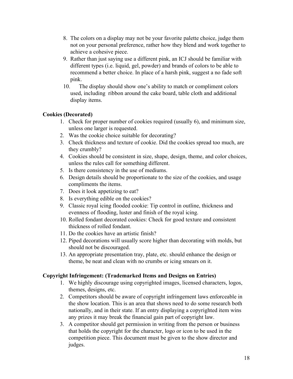- 8. The colors on a display may not be your favorite palette choice, judge them not on your personal preference, rather how they blend and work together to achieve a cohesive piece.
- 9. Rather than just saying use a different pink, an ICJ should be familiar with different types (i.e. liquid, gel, powder) and brands of colors to be able to recommend a better choice. In place of a harsh pink, suggest a no fade soft pink.
- 10. The display should show one's ability to match or compliment colors used, including ribbon around the cake board, table cloth and additional display items.

#### **Cookies (Decorated)**

- 1. Check for proper number of cookies required (usually 6), and minimum size, unless one larger is requested.
- 2. Was the cookie choice suitable for decorating?
- 3. Check thickness and texture of cookie. Did the cookies spread too much, are they crumbly?
- 4. Cookies should be consistent in size, shape, design, theme, and color choices, unless the rules call for something different.
- 5. Is there consistency in the use of mediums.
- 6. Design details should be proportionate to the size of the cookies, and usage compliments the items.
- 7. Does it look appetizing to eat?
- 8. Is everything edible on the cookies?
- 9. Classic royal icing flooded cookie: Tip control in outline, thickness and evenness of flooding, luster and finish of the royal icing.
- 10. Rolled fondant decorated cookies: Check for good texture and consistent thickness of rolled fondant.
- 11. Do the cookies have an artistic finish?
- 12. Piped decorations will usually score higher than decorating with molds, but should not be discouraged.
- 13. An appropriate presentation tray, plate, etc. should enhance the design or theme, be neat and clean with no crumbs or icing smears on it.

#### **Copyright Infringement: (Trademarked Items and Designs on Entries)**

- 1. We highly discourage using copyrighted images, licensed characters, logos, themes, designs, etc.
- 2. Competitors should be aware of copyright infringement laws enforceable in the show location. This is an area that shows need to do some research both nationally, and in their state. If an entry displaying a copyrighted item wins any prizes it may break the financial gain part of copyright law.
- 3. A competitor should get permission in writing from the person or business that holds the copyright for the character, logo or icon to be used in the competition piece. This document must be given to the show director and judges.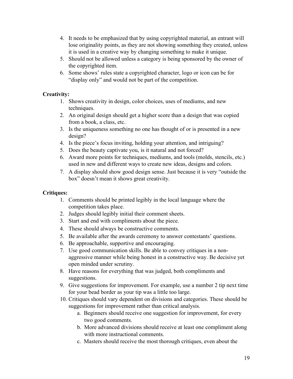- 4. It needs to be emphasized that by using copyrighted material, an entrant will lose originality points, as they are not showing something they created, unless it is used in a creative way by changing something to make itunique.
- 5. Should not be allowed unless a category is being sponsored by the owner of the copyrighted item.
- 6. Some shows' rules state a copyrighted character, logo or icon can be for "display only" and would not be part of the competition.

#### **Creativity:**

- 1. Shows creativity in design, color choices, uses of mediums, and new techniques.
- 2. An original design should get a higher score than a design that was copied from a book, a class, etc.
- 3. Is the uniqueness something no one has thought of or is presented in a new design?
- 4. Is the piece's focus inviting, holding your attention, and intriguing?
- 5. Does the beauty captivate you, is it natural and not forced?
- 6. Award more points for techniques, mediums, and tools (molds, stencils, etc.) used in new and different ways to create new ideas, designs and colors.
- 7. A display should show good design sense. Just because it is very "outside the box" doesn't mean it shows great creativity.

#### **Critiques:**

- 1. Comments should be printed legibly in the local language where the competition takes place.
- 2. Judges should legibly initial their comment sheets.
- 3. Start and end with compliments about the piece.
- 4. These should always be constructive comments.
- 5. Be available after the awards ceremony to answer contestants' questions.
- 6. Be approachable, supportive and encouraging.
- 7. Use good communication skills. Be able to convey critiques in <sup>a</sup> non-aggressive manner while being honest in <sup>a</sup> constructive way. Be decisive yet open minded under scrutiny.
- 8. Have reasons for everything that was judged, both compliments and suggestions.
- 9. Give suggestions for improvement. For example, use a number 2 tip next time for your bead border as your tip was a little too large.
- 10. Critiques should vary dependent on divisions and categories. These should be suggestions for improvement rather than critical analysis.
	- a. Beginners should receive one suggestion for improvement, for every two good comments.
	- b. More advanced divisions should receive at least one compliment along with more instructional comments.
	- c. Masters should receive the most thorough critiques, even about the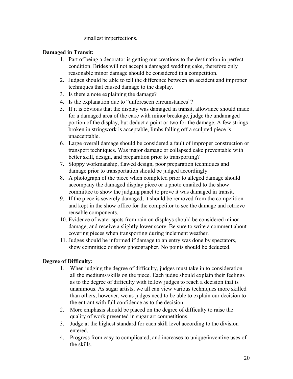smallest imperfections.

#### **Damaged in Transit:**

- 1. Part of being a decorator is getting our creations to the destination in perfect condition. Brides will not accept a damaged wedding cake, therefore only reasonable minor damage should be considered in a competition.
- 2. Judges should be able to tell the difference between an accident and improper techniques that caused damage to the display.
- 3. Is there a note explaining the damage?
- 4. Is the explanation due to "unforeseen circumstances"?
- 5. If it is obvious that the display was damaged in transit, allowance should made for a damaged area of the cake with minor breakage, judge the undamaged portion of the display, but deduct a point or two for the damage. A few strings broken in stringwork is acceptable, limbs falling off a sculpted piece is unacceptable.
- 6. Large overall damage should be considered a fault of improper construction or transport techniques. Was major damage or collapsed cake preventable with better skill, design, and preparation prior to transporting?
- 7. Sloppy workmanship, flawed design, poor preparation techniques and damage prior to transportation should be judged accordingly.
- 8. A photograph of the piece when completed prior to alleged damage should accompany the damaged display piece or a photo emailed to the show committee to show the judging panel to prove it was damaged in transit.
- 9. If the piece is severely damaged, it should be removed from the competition and kept in the show office for the competitor to see the damage and retrieve reusable components.
- 10. Evidence of water spots from rain on displays should be considered minor damage, and receive a slightly lower score. Be sure to write a comment about covering pieces when transporting during inclement weather.
- 11. Judges should be informed if damage to an entry was done by spectators, show committee or show photographer. No points should be deducted.

#### **Degree of Difficulty:**

- 1. When judging the degree of difficulty, judges must take in to consideration all the mediums/skills on the piece. Each judge should explain their feelings as to the degree of difficulty with fellow judges to reach a decision that is unanimous. As sugar artists, we all can view various techniques more skilled than others, however, we as judges need to be able to explain our decision to the entrant with full confidence as to the decision.
- 2. More emphasis should be placed on the degree of difficulty to raise the quality of work presented in sugar art competitions.
- 3. Judge at the highest standard for each skill level according to the division entered.
- 4. Progress from easy to complicated, and increases to unique/inventive uses of the skills.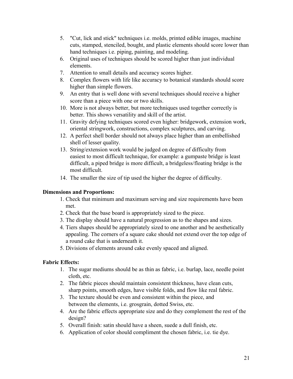- 5. "Cut, lick and stick" techniques i.e. molds, printed edible images, machine cuts, stamped, stenciled, bought, and plastic elements should score lower than hand techniques i.e. piping, painting, and modeling.
- 6. Original uses of techniques should be scored higher than just individual elements.
- 7. Attention to small details and accuracy scores higher.
- 8. Complex flowers with life like accuracy to botanical standards should score higher than simple flowers.
- 9. An entry that is well done with several techniques should receive a higher score than a piece with one or two skills.
- 10. More is not always better, but more techniques used together correctly is better. This shows versatility and skill of the artist.
- 11. Gravity defying techniques scored even higher: bridgework, extension work, oriental stringwork, constructions, complex sculptures, and carving.
- 12. A perfect shell border should not always place higher than an embellished shell of lesser quality.
- 13. String/extension work would be judged on degree of difficulty from easiest to most difficult technique, for example: a gumpaste bridge is least difficult, a piped bridge is more difficult, a bridgeless/floating bridge is the most difficult.
- 14. The smaller the size of tip used the higher the degree of difficulty.

#### **Dimensions and Proportions:**

- 1. Check that minimum and maximum serving and size requirements have been met.
- 2. Check that the base board is appropriately sized to the piece.
- 3. The display should have a natural progression as to the shapes and sizes.
- 4. Tiers shapes should be appropriately sized to one another and be aesthetically appealing. The corners of a square cake should not extend over the top edge of a round cake that is underneath it.
- 5. Divisions of elements around cake evenly spaced and aligned.

#### **Fabric Effects:**

- 1. The sugar mediums should be as thin as fabric, i.e. burlap, lace, needle point cloth, etc.
- 2. The fabric pieces should maintain consistent thickness, have clean cuts, sharp points, smooth edges, have visible folds, and flow like real fabric.
- 3. The texture should be even and consistent within the piece, and between the elements, i.e. grosgrain, dotted Swiss, etc.
- 4. Are the fabric effects appropriate size and do they complement the rest of the design?
- 5. Overall finish: satin should have a sheen, suede a dull finish, etc.
- 6. Application of color should compliment the chosen fabric, i.e. tie dye.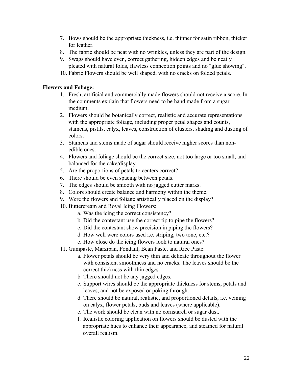- 7. Bows should be the appropriate thickness, i.e. thinner for satin ribbon, thicker for leather.
- 8. The fabric should be neat with no wrinkles, unless they are part of the design.
- 9. Swags should have even, correct gathering, hidden edges and be neatly pleated with natural folds, flawless connection points and no "glue showing".
- 10. Fabric Flowers should be well shaped, with no cracks on folded petals.

#### **Flowers and Foliage:**

- 1. Fresh, artificial and commercially made flowers should not receive a score. In the comments explain that flowers need to be hand made from a sugar medium.
- 2. Flowers should be botanically correct, realistic and accurate representations with the appropriate foliage, including proper petal shapes and counts, stamens, pistils, calyx, leaves, construction of clusters, shading and dusting of colors.
- 3. Stamens and stems made of sugar should receive higher scores than non edible ones.
- 4. Flowers and foliage should be the correct size, not too large or too small, and balanced for the cake/display.
- 5. Are the proportions of petals to centers correct?
- 6. There should be even spacing between petals.
- 7. The edges should be smooth with no jagged cutter marks.
- 8. Colors should create balance and harmony within the theme.
- 9. Were the flowers and foliage artistically placed on the display?
- 10. Buttercream and Royal Icing Flowers:
	- a. Was the icing the correct consistency?
	- b. Did the contestant use the correct tip to pipe the flowers?
	- c. Did the contestant show precision in piping the flowers?
	- d. How well were colors used i.e. striping, two tone, etc.?
	- e. How close do the icing flowers look to natural ones?
- 11. Gumpaste, Marzipan, Fondant, Bean Paste, and Rice Paste:
	- a. Flower petals should be very thin and delicate throughout the flower with consistent smoothness and no cracks. The leaves should be the correct thickness with thin edges.
	- b. There should not be any jagged edges.
	- c. Support wires should be the appropriate thickness for stems, petals and leaves, and not be exposed or poking through.
	- d. There should be natural, realistic, and proportioned details, i.e. veining on calyx, flower petals, buds and leaves (where applicable).
	- e. The work should be clean with no cornstarch or sugar dust.
	- f. Realistic coloring application on flowers should be dusted with the appropriate hues to enhance their appearance, and steamed for natural overall realism.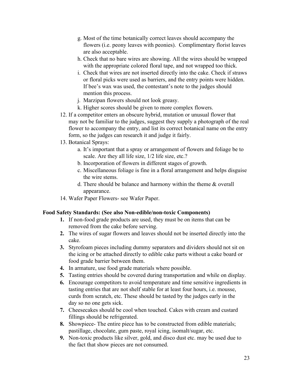- g. Most of the time botanically correct leaves should accompany the flowers (i.e. peony leaves with peonies). Complimentary florist leaves are also acceptable.<br>h. Check that no bare wires are showing. All the wires should be wrapped
- with the appropriate colored floral tape, and not wrapped too thick.
- i. Check that wires are not inserted directly into the cake. Check if straws or floral picks were used as barriers, and the entry points were hidden. If bee's wax was used, the contestant's note to the judges should mention this process.
- j. Marzipan flowers should not look greasy.
- k. Higher scores should be given to more complex flowers.
- 12. If a competitor enters an obscure hybrid, mutation or unusual flower that may not be familiar to the judges, suggest they supply a photograph of the real flower to accompany the entry, and list its correct botanical name on the entry form, so the judges can research it and judge it fairly.
- 13. Botanical Sprays:
	- a. It's important that a spray or arrangement of flowers and foliage be to scale. Are they all life size, 1/2 life size, etc.?
	- b. Incorporation of flowers in different stages of growth.
	- c. Miscellaneous foliage is fine in a floral arrangement and helps disguise the wire stems.
	- d. There should be balance and harmony within the theme & overall appearance.
- 14. Wafer Paper Flowers- see Wafer Paper.

#### **Food Safety Standards: (See also Non-edible/non-toxic Components)**

- **1.** If non-food grade products are used, they must be on items that can be removed from the cake before serving.
- **2.** The wires of sugar flowers and leaves should not be inserted directly into the cake.
- **3.** Styrofoam pieces including dummy separators and dividers should not sit on the icing or be attached directly to edible cake parts without a cake board or food grade barrier between them.
- **4.** In armature, use food grade materials where possible.
- **5.** Tasting entries should be covered during transportation and while on display.
- **6.** Encourage competitors to avoid temperature and time sensitive ingredients in tasting entries that are not shelf stable for at least four hours, i.e. mousse, curds from scratch, etc. These should be tasted by the judges early in the day so no one gets sick.
- **7.** Cheesecakes should be cool when touched. Cakes with cream and custard fillings should be refrigerated.
- **8.** Showpiece- The entire piece has to be constructed from edible materials; pastillage, chocolate, gum paste, royal icing, isomalt/sugar, etc.
- **9.** Non-toxic products like silver, gold, and disco dustetc. may be used due to the fact that show pieces are not consumed.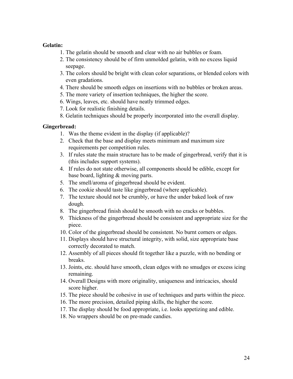#### **Gelatin:**

- 1. The gelatin should be smooth and clear with no air bubbles or foam.
- 2. The consistency should be of firm unmolded gelatin, with no excess liquid seepage.
- 3. The colors should be bright with clean color separations, or blended colors with even gradations.
- 4. There should be smooth edges on insertions with no bubbles or broken areas.
- 5. The more variety of insertion techniques, the higher the score.
- 6. Wings, leaves, etc. should have neatly trimmed edges.
- 7. Look for realistic finishing details.
- 8. Gelatin techniques should be properly incorporated into the overall display.

#### **Gingerbread:**

- 1. Was the theme evident in the display (if applicable)?
- 2. Check that the base and display meets minimum and maximum size requirements per competition rules.
- 3. If rules state the main structure has to be made of gingerbread, verify that it is (this includes support systems).
- 4. If rules do not state otherwise, all components should be edible, except for base board, lighting & moving parts.
- 5. The smell/aroma of gingerbread should be evident.
- 6. The cookie should taste like gingerbread (where applicable).
- 7. The texture should not be crumbly, or have the under baked look of raw dough.
- 8. The gingerbread finish should be smooth with no cracks or bubbles.
- 9. Thickness of the gingerbread should be consistent and appropriate size for the piece.
- 10. Color of the gingerbread should be consistent. No burnt corners oredges.
- 11. Displays should have structural integrity, with solid, size appropriate base correctly decorated to match.
- 12. Assembly of all pieces should fit together like a puzzle, with no bending or breaks.
- 13. Joints, etc. should have smooth, clean edges with no smudges orexcess icing remaining.
- 14. Overall Designs with more originality, uniqueness and intricacies, should score higher.
- 15. The piece should be cohesive in use of techniques and parts within the piece.
- 16. The more precision, detailed piping skills, the higher the score.
- 17. The display should be food appropriate, i.e. looks appetizing and edible.
- 18. No wrappers should be on pre-made candies.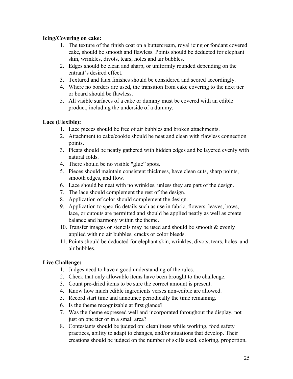#### **Icing/Covering on cake:**

- 1. The texture of the finish coat on a buttercream, royal icing or fondant covered cake, should be smooth and flawless. Points should be deducted for elephant skin, wrinkles, divots, tears, holes and air bubbles.
- 2. Edges should be clean and sharp, or uniformly rounded depending on the entrant's desired effect.
- 3. Textured and faux finishes should be considered and scored accordingly.
- 4. Where no borders are used, the transition from cake covering to the next tier or board should be flawless.
- 5. All visible surfaces of a cake or dummy must be covered with an edible product, including the underside of a dummy.

#### **Lace (Flexible):**

- 1. Lace pieces should be free of air bubbles and broken attachments.
- 2. Attachment to cake/cookie should be neat and clean with flawless connection points.
- 3. Pleats should be neatly gathered with hidden edges and be layered evenly with natural folds.
- 4. There should be no visible "glue" spots.
- 5. Pieces should maintain consistent thickness, have clean cuts, sharp points, smooth edges, and flow.
- 6. Lace should be neat with no wrinkles, unless they are part of the design.
- 7. The lace should complement the rest of the design.
- 8. Application of color should complement the design.
- 9. Application to specific details such as use in fabric, flowers, leaves, bows, lace, or cutouts are permitted and should be applied neatly as well as create balance and harmony within the theme.
- 10. Transfer images or stencils may be used and should be smooth  $\&$  evenly applied with no air bubbles, cracks or color bleeds.
- 11. Points should be deducted for elephant skin, wrinkles, divots, tears, holes and air bubbles.

#### **Live Challenge:**

- 1. Judges need to have a good understanding of the rules.
- 2. Check that only allowable items have been brought to the challenge.
- 3. Count pre-dried items to be sure the correct amount is present.
- 4. Know how much edible ingredients verses non-edible are allowed.5. Record start time and announce periodically the time remaining.
- 
- 6. Is the theme recognizable at first glance?
- 7. Was the theme expressed well and incorporated throughout the display, not just on one tier or in a small area?
- 8. Contestants should be judged on: cleanliness while working, food safety practices, ability to adapt to changes, and/or situations that develop. Their creations should be judged on the number of skills used, coloring, proportion,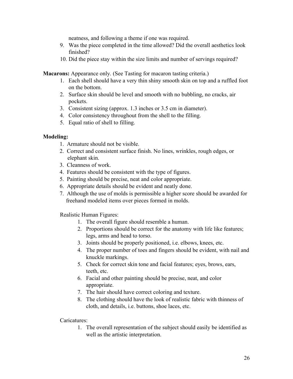neatness, and following a theme if one was required.

- 9. Was the piece completed in the time allowed? Did the overall aesthetics look finished?
- 10. Did the piece stay within the size limits and number of servings required?

**Macarons:** Appearance only. (See Tasting for macaron tasting criteria.)

- 1. Each shell should have a very thin shiny smooth skin on top and a ruffled foot on the bottom.
- 2. Surface skin should be level and smooth with no bubbling, no cracks, air pockets.
- 3. Consistent sizing (approx. 1.3 inches or 3.5 cm in diameter).
- 4. Color consistency throughout from the shell to the filling.
- 5. Equal ratio of shell to filling.

#### **Modeling:**

- 1. Armature should not be visible.
- 2. Correct and consistent surface finish. No lines, wrinkles, rough edges, or elephant skin.
- 3. Cleanness ofwork.
- 4. Features should be consistent with the type of figures.
- 5. Painting should be precise, neat and color appropriate.
- 6. Appropriate details should be evident and neatly done.
- 7. Although the use of molds is permissible a higher score should be awarded for freehand modeled items over pieces formed in molds.

Realistic Human Figures:

- 1. The overall figure should resemble a human.
- 2. Proportions should be correct for the anatomy with life like features; legs, arms and head to torso.
- 3. Joints should be properly positioned, i.e. elbows, knees, etc.
- 4. The proper number of toes and fingers should be evident, with nail and knuckle markings.
- 5. Check for correct skin tone and facial features; eyes, brows, ears, teeth, etc.
- 6. Facial and other painting should be precise, neat, and color appropriate.
- 7. The hair should have correct coloring and texture.
- 8. The clothing should have the look of realistic fabric with thinness of cloth, and details, i.e. buttons, shoe laces, etc.

#### Caricatures:

1. The overall representation of the subject should easily be identified as well as the artistic interpretation.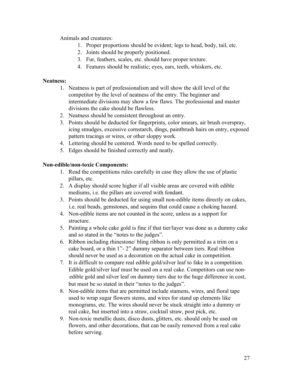Animals and creatures:

- 1. Proper proportions should be evident; legs to head, body, tail, etc.
- 2. Joints should be properly positioned.
- 3. Fur, feathers, scales, etc. should have proper texture.
- 4. Features should be realistic; eyes, ears, teeth, whiskers, etc.

#### **Neatness:**

- 1. Neatness is part of professionalism and will show the skill level of the competitor by the level of neatness of the entry. The beginner and intermediate divisions may show a few flaws. The professional and master divisions the cake should be flawless.
- 2. Neatness should be consistent throughout an entry.
- 3. Points should be deducted for fingerprints, color smears, air brush overspray, icing smudges, excessive cornstarch, dings, paintbrush hairs on entry, exposed pattern tracings or wires, or other sloppy work.
- 4. Lettering should be centered. Words need to be spelled correctly.
- 5. Edges should be finished correctly and neatly.

#### **Non-edible/non-toxic Components:**

- 1. Read the competitions rules carefully in case they allow the use of plastic pillars, etc.
- 2. A display should score higher if all visible areas are covered with edible mediums, i.e. the pillars are covered with fondant.
- 3. Points should be deducted for using small non-edible items directly on cakes, i.e. real beads, gemstones, and sequins that could cause a choking hazard.
- 4. Non-edible items are not counted in the score, unless as a support for structure.
- 5. Painting a whole cake gold is fine if that tier/layer was done as a dummy cake and so stated in the "notes to the judges".
- 6. Ribbon including rhinestone/ bling ribbon is only permitted as a trim on a cake board, or a thin 1"- 2" dummy separator between tiers. Real ribbon should never be used as a decoration on the actual cake in competition.
- 7. It is difficult to compare real edible gold/silver leaf to fake in a competition. Edible gold/silver leaf must be used on <sup>a</sup> real cake. Competitors can use non-edible gold and silver leaf on dummy tiers due to the huge difference in cost, but must be so stated in their "notes to the judges".
- 8. Non-edible items that are permitted include stamens, wires, and floral tape used to wrap sugar flowers stems, and wires for stand up elements like monograms, etc. The wires should never be stuck straight into a dummy or real cake, but inserted into a straw, cocktail straw, post pick, etc.
- 9. Non-toxic metallic dusts, disco dusts, glitters, etc. should only be used on flowers, and other decorations, that can be easily removed from a real cake before serving.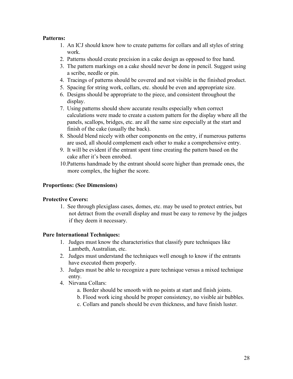#### **Patterns:**

- 1. An ICJ should know how to create patterns for collars and all styles of string work.
- 2. Patterns should create precision in a cake design as opposed to free hand.
- 3. The pattern markings on a cake should never be done in pencil. Suggest using a scribe, needle or pin.
- 4. Tracings of patterns should be covered and not visible in the finished product.
- 5. Spacing for string work, collars, etc. should be even and appropriate size.
- 6. Designs should be appropriate to the piece, and consistent throughout the display.
- 7. Using patterns should show accurate results especially when correct calculations were made to create a custom pattern for the display where all the panels, scallops, bridges, etc. are all the same size especially at the start and finish of the cake (usually the back).
- 8. Should blend nicely with other components on the entry, if numerous patterns are used, all should complement each other to make a comprehensive entry.
- 9. It will be evident if the entrant spent time creating the pattern based on the cake after it's been enrobed.
- 10.Patterns handmade by the entrant should score higher than premade ones, the more complex, the higher the score.

#### **Proportions: (See Dimensions)**

#### **Protective Covers:**

1. See through plexiglass cases, domes, etc. may be used to protect entries, but not detract from the overall display and must be easy to remove by the judges if they deem it necessary.

#### **Pure International Techniques:**

- 1. Judges must know the characteristics that classify pure techniques like Lambeth, Australian, etc.
- 2. Judges must understand the techniques well enough to know if the entrants have executed them properly.
- 3. Judges must be able to recognize a pure technique versus a mixed technique entry.
- 4. Nirvana Collars:
	- a. Border should be smooth with no points at start and finish joints.
	- b. Flood work icing should be proper consistency, no visible air bubbles.
	- c. Collars and panels should be even thickness, and have finish luster.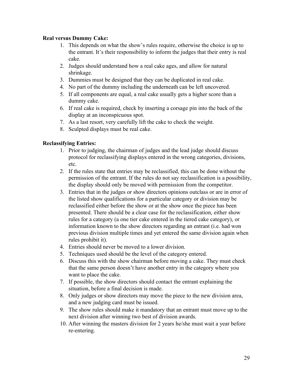#### **Real versus Dummy Cake:**

- 1. This depends on what the show's rules require, otherwise the choice is up to the entrant. It's their responsibility to inform the judges that their entry is real cake.
- 2. Judges should understand how a real cake ages, and allow for natural shrinkage.
- 3. Dummies must be designed that they can be duplicated in real cake.
- 4. No part of the dummy including the underneath can be left uncovered.
- 5. If all components are equal, a real cake usually gets a higher score than a dummy cake.
- 6. If real cake is required, check by inserting a corsage pin into the back of the display at an inconspicuous spot.
- 7. As a last resort, very carefully lift the cake to check the weight.
- 8. Sculpted displays must be real cake.

#### **Reclassifying Entries:**

- 1. Prior to judging, the chairman of judges and the lead judge should discuss protocol for reclassifying displays entered in the wrong categories, divisions, etc.
- 2. If the rules state that entries may be reclassified, this can be done without the permission of the entrant. If the rules do not say reclassification is a possibility, the display should only be moved with permission from the competitor.
- 3. Entries that in the judges or show directors opinions outclass or are in error of the listed show qualifications for a particular category or division may be reclassified either before the show or at the show once the piece has been presented. There should be a clear case for the reclassification, either show rules for a category (a one tier cake entered in the tiered cake category), or information known to the show directors regarding an entrant (i.e. had won previous division multiple times and yet entered the same division again when rules prohibit it).
- 4. Entries should never be moved to a lower division.
- 5. Techniques used should be the level of the category entered.
- 6. Discuss this with the show chairman before moving a cake. They must check that the same person doesn't have another entry in the category where you want to place the cake.
- 7. If possible, the show directors should contact the entrant explaining the
- situation, before a final decision is made.<br>8. Only judges or show directors may move the piece to the new division area, and a new judging card must be issued.
- 9. The show rules should make it mandatory that an entrant must move up to the next division after winning two best of division awards.
- 10. After winning the masters division for 2 years he/she must wait a year before re-entering.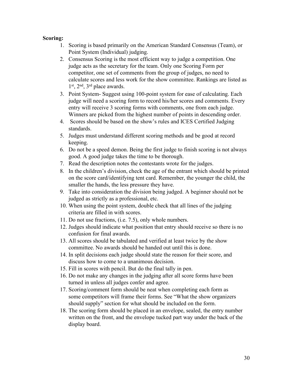#### **Scoring:**

- 1. Scoring is based primarily on the American Standard Consensus (Team), or Point System (Individual) judging.
- 2. Consensus Scoring is the most efficient way to judge a competition. One judge acts as the secretary for the team. Only one Scoring Form per competitor, one set of comments from the group of judges, no need to calculate scores and less work for the show committee. Rankings are listed as 1 st, 2 nd , 3 rd place awards.
- 3. Point System- Suggest using 100-point system for ease of calculating. Each judge will need a scoring form to record his/her scores and comments. Every entry will receive 3 scoring forms with comments, one from each judge. Winners are picked from the highest number of points in descending order.
- 4. Scores should be based on the show's rules and ICES Certified Judging standards.
- 5. Judges must understand different scoring methods and be good at record keeping.
- 6. Do not be a speed demon. Being the first judge to finish scoring is not always good. A good judge takes the time to be thorough.
- 7. Read the description notes the contestants wrote for the judges.
- 8. In the children's division, check the age of the entrant which should be printed on the score card/identifying tent card. Remember, the younger the child, the smaller the hands, the less pressure they have.
- 9. Take into consideration the division being judged. A beginner should not be judged as strictly as a professional, etc.
- 10. When using the point system, double check that all lines of the judging criteria are filled in with scores.
- 11. Do not use fractions, (i.e. 7.5), only whole numbers.
- 12. Judges should indicate what position that entry should receive so there is no confusion for final awards.
- 13. All scores should be tabulated and verified at least twice by the show committee. No awards should be handed out until this is done.
- 14. In split decisions each judge should state the reason for their score, and discuss how to come to a unanimous decision.
- 15. Fill in scores with pencil. But do the final tally in pen.
- 16. Do not make any changes in the judging after all score forms have been turned in unless all judges confer and agree.
- 17. Scoring/comment form should be neat when completing each form as some competitors will frame their forms. See "What the show organizers" should supply" section for what should be included on the form.
- 18. The scoring form should be placed in an envelope, sealed, the entry number written on the front, and the envelope tucked part way under the back of the display board.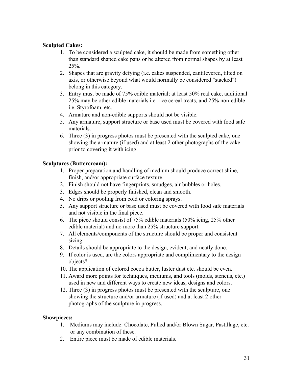#### **Sculpted Cakes:**

- 1. To be considered a sculpted cake, it should be made from something other than standard shaped cake pans or be altered from normal shapes by at least 25%.
- 2. Shapes that are gravity defying (i.e. cakes suspended, cantilevered, tilted on axis, or otherwise beyond what would normally be considered "stacked") belong in this category.
- 3. Entry must be made of 75% edible material; at least 50% real cake, additional 25% may be other edible materials i.e. rice cereal treats, and 25% non-edible i.e. Styrofoam, etc.
- 4. Armature and non-edible supports should not be visible.
- 5. Any armature, support structure or base used must be covered with food safe materials.
- 6. Three (3) in progress photos must be presented with the sculpted cake, one showing the armature (if used) and at least 2 other photographs of the cake prior to covering it with icing.

#### **Sculptures (Buttercream):**

- 1. Proper preparation and handling of medium should produce correct shine, finish, and/or appropriate surface texture.
- 2. Finish should not have fingerprints, smudges, air bubbles or holes.
- 3. Edges should be properly finished, clean and smooth.
- 4. No drips or pooling from cold or coloring sprays.
- 5. Any support structure or base used must be covered with food safe materials and not visible in the final piece.
- 6. The piece should consist of 75% edible materials (50% icing, 25% other edible material) and no more than 25% structure support.
- 7. All elements/components of the structure should be proper and consistent sizing.
- 8. Details should be appropriate to the design, evident, and neatly done.
- 9. If color is used, are the colors appropriate and complimentary to the design objects?
- 10. The application of colored cocoa butter, luster dust etc. should be even.
- 11. Award more points for techniques, mediums, and tools (molds, stencils, etc.) used in new and different ways to create new ideas, designs and colors.
- 12. Three (3) in progress photos must be presented with the sculpture, one showing the structure and/or armature (if used) and at least 2 other photographs of the sculpture in progress.

#### **Showpieces:**

- 1. Mediums may include: Chocolate, Pulled and/or Blown Sugar, Pastillage, etc. or any combination of these.
- 2. Entire piece must be made of edible materials.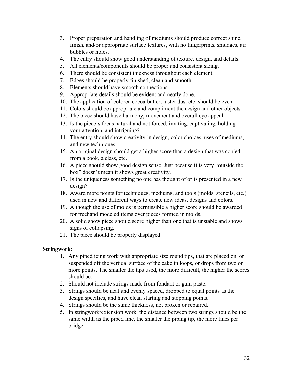- 3. Proper preparation and handling of mediums should produce correct shine, finish, and/or appropriate surface textures, with no fingerprints, smudges, air bubbles or holes.
- 4. The entry should show good understanding of texture, design, and details.
- 5. All elements/components should be proper and consistent sizing.
- 6. There should be consistent thickness throughout each element.
- 7. Edges should be properly finished, clean and smooth.
- 8. Elements should have smooth connections.
- 9. Appropriate details should be evident and neatly done.
- 10. The application of colored cocoa butter, luster dust etc. should be even.
- 11. Colors should be appropriate and compliment the design and other objects.
- 12. The piece should have harmony, movement and overall eye appeal.
- 13. Is the piece's focus natural and not forced, inviting, captivating, holding your attention, and intriguing?
- 14. The entry should show creativity in design, color choices, uses of mediums, and new techniques.
- 15. An original design should get a higher score than a design that was copied from a book, a class, etc.
- 16. A piece should show good design sense. Just because it is very "outside the box" doesn't mean it shows great creativity.
- 17. Is the uniqueness something no one has thought of or is presented in a new design?
- 18. Award more points for techniques, mediums, and tools (molds, stencils, etc.) used in new and different ways to create new ideas, designs and colors.
- 19. Although the use of molds is permissible a higher score should be awarded for freehand modeled items over pieces formed in molds.
- 20. A solid show piece should score higher than one that is unstable and shows signs of collapsing.
- 21. The piece should be properly displayed.

#### **Stringwork:**

- 1. Any piped icing work with appropriate size round tips, that are placed on, or suspended off the vertical surface of the cake in loops, or drops from two or more points. The smaller the tips used, the more difficult, the higher the scores should be.
- 2. Should not include strings made from fondant or gum paste.
- 3. Strings should be neat and evenly spaced, dropped to equal points as the design specifies, and have clean starting and stopping points.
- 4. Strings should be the same thickness, not broken or repaired.
- 5. In stringwork/extension work, the distance between two strings should be the same width as the piped line, the smaller the piping tip, the more lines per bridge.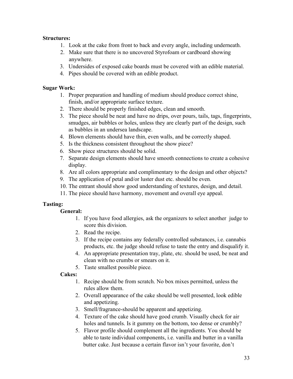#### **Structures:**

- 1. Look at the cake from front to back and every angle, including underneath.
- 2. Make sure that there is no uncovered Styrofoam or cardboard showing anywhere.
- 3. Undersides of exposed cake boards must be covered with an edible material.
- 4. Pipes should be covered with an edible product.

#### **Sugar Work:**

- 1. Proper preparation and handling of medium should produce correct shine, finish, and/or appropriate surface texture.
- 2. There should be properly finished edges, clean and smooth.
- 3. The piece should be neat and have no drips, over pours, tails, tags, fingerprints, smudges, air bubbles or holes, unless they are clearly part of the design, such as bubbles in an undersea landscape.
- 4. Blown elements should have thin, even walls, and be correctly shaped.
- 5. Is the thickness consistent throughout the show piece?
- 6. Show piece structures should be solid.
- 7. Separate design elements should have smooth connections to create a cohesive display.
- 8. Are all colors appropriate and complimentary to the design and other objects?
- 9. The application of petal and/or luster dust etc. should be even.
- 10. The entrant should show good understanding of textures, design, and detail.
- 11. The piece should have harmony, movement and overall eye appeal.

#### **Tasting:**

#### **General:**

- 1. If you have food allergies, ask the organizers to select another judge to score this division.
- 2. Read the recipe.
- 3. If the recipe contains any federally controlled substances, i.e. cannabis products, etc. the judge should refuse to taste the entry and disqualify it.
- 4. An appropriate presentation tray, plate, etc. should be used, be neat and clean with no crumbs or smears on it.
- 5. Taste smallest possible piece.

#### **Cakes:**

- 1. Recipe should be from scratch. No box mixes permitted, unless the rules allow them.
- 2. Overall appearance of the cake should be well presented, look edible and appetizing.
- 3. Smell/fragrance-should be apparent and appetizing.
- 4. Texture of the cake should have good crumb. Visually check for air holes and tunnels. Is it gummy on the bottom, too dense or crumbly?
- 5. Flavor profile should complement all the ingredients. You should be able to taste individual components, i.e. vanilla and butter in a vanilla butter cake. Just because a certain flavor isn't your favorite, don't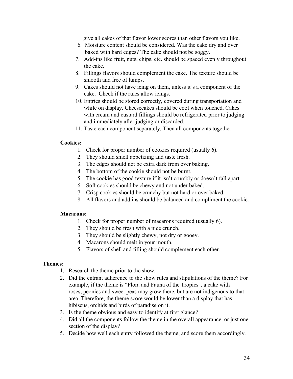give all cakes of that flavor lower scores than other flavors you like.

- 6. Moisture content should be considered. Was the cake dry and over baked with hard edges? The cake should not be soggy.
- 7. Add-ins like fruit, nuts, chips, etc. should be spaced evenly throughout the cake.
- 8. Fillings flavors should complement the cake. The texture should be smooth and free of lumps.
- 9. Cakes should not have icing on them, unless it's a component of the cake. Check if the rules allow icings.
- 10. Entries should be stored correctly, covered during transportation and while on display. Cheesecakes should be cool when touched. Cakes with cream and custard fillings should be refrigerated prior to judging and immediately after judging or discarded.
- 11. Taste each component separately. Then all components together.

#### **Cookies:**

- 1. Check for proper number of cookies required (usually 6).
- 2. They should smell appetizing and taste fresh.
- 3. The edges should not be extra dark from over baking.
- 4. The bottom of the cookie should not be burnt.
- 5. The cookie has good texture if it isn't crumbly or doesn't fall apart.
- 6. Soft cookies should be chewy and not under baked.
- 7. Crisp cookies should be crunchy but not hard or over baked.
- 8. All flavors and add ins should be balanced and compliment the cookie.

#### **Macarons:**

- 1. Check for proper number of macarons required (usually 6).
- 2. They should be fresh with a nice crunch.
- 3. They should be slightly chewy, not dry or gooey.
- 4. Macarons should melt in your mouth.
- 5. Flavors of shell and filling should complement each other.

#### **Themes:**

- 1. Research the theme prior to the show.
- 2. Did the entrant adherence to the show rules and stipulations of the theme? For example, if the theme is "Flora and Fauna of the Tropics", a cake with roses, peonies and sweet peas may grow there, but are not indigenous to that area. Therefore, the theme score would be lower than a display that has hibiscus, orchids and birds of paradise on it.
- 3. Is the theme obvious and easy to identify at first glance?
- 4. Did all the components follow the theme in the overall appearance, or just one section of the display?
- 5. Decide how well each entry followed the theme, and score them accordingly.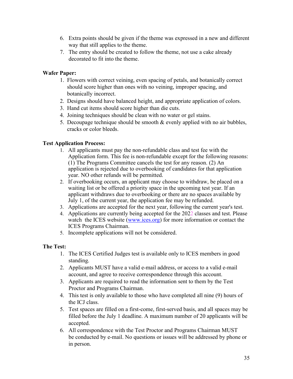- 6. Extra points should be given if the theme was expressed in a new and different way that still applies to the theme.
- 7. The entry should be created to follow the theme, not use a cake already decorated to fit into the theme.

#### **Wafer Paper:**

- 1. Flowers with correct veining, even spacing of petals, and botanically correct should score higher than ones with no veining, improper spacing, and botanically incorrect.
- 2. Designs should have balanced height, and appropriate application of colors.
- 3. Hand cut items should score higher than die cuts.
- 4. Joining techniques should be clean with no water or gel stains.
- 5. Decoupage technique should be smooth & evenly applied with no air bubbles, cracks or color bleeds.

#### **Test Application Process:**

- 1. All applicants must pay the non-refundable class and test fee with the Application form. This fee is non-refundable except for the following reasons: (1) The Programs Committee cancels the test for any reason. (2) An application is rejected due to overbooking of candidates for that application year. NO other refunds will be permitted.
- 2. If overbooking occurs, an applicant may choose to withdraw, be placed on a waiting list or be offered a priority space in the upcoming test year. If an applicant withdraws due to overbooking or there are no spaces available by July 1, of the current year, the application fee may be refunded.
- 3. Applications are accepted for the next year, following the current year's test.
- 4. Applications are currently being accepted for the 2022 classes and test. Please watch the ICES website ([www.ices.org\)](http://www.ices.org/) for more information or contact the ICES Programs Chairman.
- 5. Incomplete applications will not be considered.

#### **The Test:**

- 1. The ICES Certified Judges test is available only to ICES members in good standing.
- 2. Applicants MUST have a valid e-mail address, or access to a valid e-mail account, and agree to receive correspondence through this account.
- 3. Applicants are required to read the information sent to them by the Test Proctor and Programs Chairman.
- 4. This test is only available to those who have completed all nine (9) hours of the ICJ class.
- 5. Test spaces are filled on a first-come, first-served basis, and all spaces may be filled before the July 1 deadline. A maximum number of 20 applicants will be accepted.
- 6. All correspondence with the Test Proctor and Programs Chairman MUST be conducted by e-mail. No questions or issues will be addressed by phone or in person.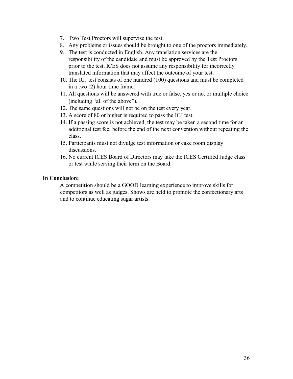- 7. Two Test Proctors will supervise the test.
- 8. Any problems or issues should be brought to one of the proctors immediately.
- 9. The test is conducted in English. Any translation services are the responsibility of the candidate and must be approved by the Test Proctors prior to the test. ICES does not assume any responsibility for incorrectly translated information that may affect the outcome of your test.
- 10. The ICJ test consists of one hundred (100) questions and must be completed in a two (2) hour time frame.
- 11. All questions will be answered with true or false, yes or no, or multiple choice (including "all of the above").
- 12. The same questions will not be on the test every year.
- 13. A score of 80 or higher is required to pass the ICJ test.
- 14. If a passing score is not achieved, the test may be taken a second time for an additional test fee, before the end of the next convention without repeating the class.
- 15. Participants must not divulge test information or cake room display discussions.
- 16. No current ICES Board of Directors may take the ICES Certified Judge class or test while serving their term on the Board.

#### **In Conclusion:**

A competition should be a GOOD learning experience to improve skills for competitors as well as judges. Shows are held to promote the confectionary arts and to continue educating sugar artists.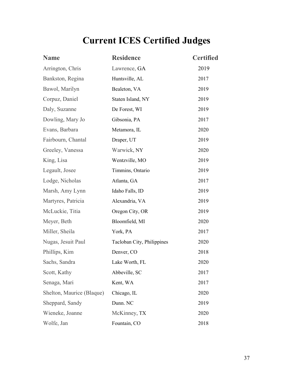# **Current ICES Certified Judges**

| <b>Name</b>               | <b>Residence</b>           | <b>Certified</b> |
|---------------------------|----------------------------|------------------|
| Arrington, Chris          | Lawrence, GA               | 2019             |
| Bankston, Regina          | Huntsville, AL             | 2017             |
| Bawol, Marilyn            | Bealeton, VA               | 2019             |
| Corpuz, Daniel            | Staten Island, NY          | 2019             |
| Daly, Suzanne             | De Forest, WI              | 2019             |
| Dowling, Mary Jo          | Gibsonia, PA               | 2017             |
| Evans, Barbara            | Metamora, IL               | 2020             |
| Fairbourn, Chantal        | Draper, UT                 | 2019             |
| Greeley, Vanessa          | Warwick, NY                | 2020             |
| King, Lisa                | Wentzville, MO             | 2019             |
| Legault, Josee            | Timmins, Ontario           | 2019             |
| Lodge, Nicholas           | Atlanta, GA                | 2017             |
| Marsh, Amy Lynn           | Idaho Falls, ID            | 2019             |
| Martyres, Patricia        | Alexandria, VA             | 2019             |
| McLuckie, Titia           | Oregon City, OR            | 2019             |
| Meyer, Beth               | Bloomfield, MI             | 2020             |
| Miller, Sheila            | York, PA                   | 2017             |
| Nugas, Jesuit Paul        | Tacloban City, Philippines | 2020             |
| Phillips, Kim             | Denver, CO                 | 2018             |
| Sachs, Sandra             | Lake Worth, FL             | 2020             |
| Scott, Kathy              | Abbeville, SC              | 2017             |
| Senaga, Mari              | Kent, WA                   | 2017             |
| Shelton, Maurice (Blaque) | Chicago, IL                | 2020             |
| Sheppard, Sandy           | Dunn. NC                   | 2019             |
| Wieneke, Joanne           | McKinney, TX               | 2020             |
| Wolfe, Jan                | Fountain, CO               | 2018             |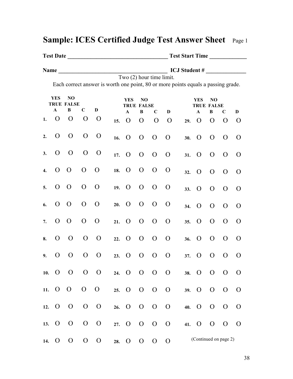|    |                    |                                     |                |                |                                 |                |                          |                | Test Start Time                                                                   |               |                         |                |                |
|----|--------------------|-------------------------------------|----------------|----------------|---------------------------------|----------------|--------------------------|----------------|-----------------------------------------------------------------------------------|---------------|-------------------------|----------------|----------------|
|    |                    |                                     |                |                |                                 |                |                          |                |                                                                                   |               |                         |                |                |
|    |                    |                                     |                |                |                                 |                | Two (2) hour time limit. |                | Each correct answer is worth one point, 80 or more points equals a passing grade. |               |                         |                |                |
|    | <b>YES</b>         | N <sub>O</sub><br><b>TRUE FALSE</b> |                |                | <b>YES</b><br><b>TRUE FALSE</b> | NO             |                          |                |                                                                                   | <b>YES</b>    | NO<br><b>TRUE FALSE</b> |                |                |
|    | $\mathbf{A}$       | $\bf{B}$                            | $\mathbf C$    | D              | $\mathbf{A}$                    | $\bf{B}$       | $\mathbf C$              | D              |                                                                                   | $\mathbf{A}$  | $\bf{B}$                | $\mathbf C$    | $\mathbf{D}$   |
| 1. | $\Omega$           | $\mathbf{O}$                        | $\mathbf{O}$   | $\Omega$       | 15. $\overline{O}$              | $\mathbf{O}$   | $\mathbf{O}$             | $\overline{O}$ |                                                                                   | $29. \quad O$ | $\overline{O}$          | $\overline{O}$ | $\Omega$       |
| 2. | $\Omega$           | $\mathbf{O}$                        | $\overline{O}$ | $\overline{O}$ | 16. O                           | $\mathbf{O}$   | $\overline{O}$           | $\overline{O}$ |                                                                                   | $30.$ O       | $\mathbf{O}$            | $\mathbf{O}$   | $\overline{O}$ |
| 3. | $\mathbf{O}$       | $\mathbf{O}$                        | $\mathbf{O}$   | $\overline{O}$ | 17. O                           | $\mathbf{O}$   | $\overline{O}$           | $\overline{O}$ |                                                                                   | $31. \quad O$ | $\mathbf{O}$            | $\mathbf{O}$   | $\overline{O}$ |
| 4. | $\mathbf{O}$       | $\overline{O}$                      | $\mathbf{O}$   | $\overline{O}$ | 18. O                           | $\overline{O}$ | $\overline{O}$           | $\Omega$       |                                                                                   | $32. \quad O$ | $\overline{O}$          | $\mathbf{O}$   | $\overline{O}$ |
| 5. | $\mathbf{O}$       | $\overline{O}$                      | $\mathbf{O}$   | $\overline{O}$ | $19. \quad O$                   | $\mathbf{O}$   | $\overline{O}$           | $\Omega$       |                                                                                   | $33. \quad O$ | $\overline{O}$          | $\mathbf{O}$   | $\overline{O}$ |
| 6. | $\mathbf{O}$       | $\overline{O}$                      | $\mathbf{O}$   | $\overline{O}$ | $20.$ O                         | $\mathbf{O}$   | $\overline{O}$           | $\Omega$       |                                                                                   | 34. O         | $\overline{O}$          | $\mathbf{O}$   | $\overline{O}$ |
| 7. | $\mathbf{O}$       | $\overline{O}$                      | $\mathbf{O}$   | $\overline{O}$ | $21. \quad O$                   | $\mathbf{O}$   | $\overline{O}$           | $\overline{O}$ |                                                                                   | $35. \quad O$ | $\overline{O}$          | $\Omega$       | $\mathbf{O}$   |
| 8. | $\overline{O}$     | $\overline{O}$                      |                | $0 \quad 0$    | 22. O                           | $\mathbf{O}$   | $\mathbf{O}$             | $\mathbf{O}$   |                                                                                   | $36.$ O       | $\overline{O}$          | $\overline{O}$ | $\overline{O}$ |
| 9. | $\mathbf{O}$       | $\overline{O}$                      | $\mathbf{O}$   | $\mathbf{O}$   | $23. \quad O$                   | $\mathbf{O}$   | $\overline{O}$           | $\mathbf{O}$   |                                                                                   | $37.$ O       | $\overline{O}$          | $\Omega$       | $\overline{O}$ |
|    | 10. $O$ O          |                                     |                | $O$ O          |                                 |                | 24. 0 0 0 0              |                |                                                                                   |               | 38. O O O               |                | $\overline{O}$ |
|    | 11. O O            |                                     | $O$ O          |                |                                 |                | 25. 0 0 0 0              |                |                                                                                   | 39. O O       |                         | $\overline{O}$ | $\overline{O}$ |
|    | $12. \quad O$      | $\overline{O}$                      |                | $0 \quad 0$    |                                 |                | 26. O O O O              |                |                                                                                   | 40. O O       |                         | $\mathbf{O}$   | $\overline{O}$ |
|    | 13. $\overline{O}$ | $\overline{O}$                      |                | $0\quad 0$     |                                 |                | 27. 0 0 0 0              |                |                                                                                   |               | 41. 0 0 0 0             |                |                |
|    | 14. O              | $\overline{O}$                      | $\overline{O}$ | $\overline{O}$ | 28. O                           | $\mathbf{O}$   | $\overline{O}$           | $\mathbf{O}$   |                                                                                   |               | (Continued on page 2)   |                |                |

### **Sample: ICES Certified Judge TestAnswer Sheet** Page <sup>1</sup>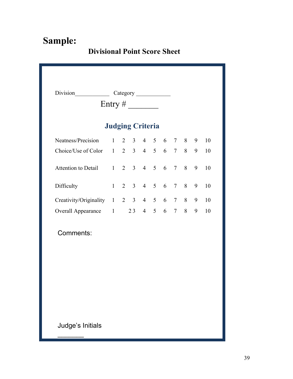### **Divisional Point Score Sheet**

| Entry $\#$                                              |  |  |                                     |  |  |  |  |   |    |
|---------------------------------------------------------|--|--|-------------------------------------|--|--|--|--|---|----|
|                                                         |  |  | <b>Judging Criteria</b>             |  |  |  |  |   |    |
| Neatness/Precision                                      |  |  | $1 \t2 \t3 \t4 \t5 \t6 \t7 \t8 \t9$ |  |  |  |  |   | 10 |
| Choice/Use of Color $1 \t2 \t3 \t4 \t5 \t6 \t7 \t8 \t9$ |  |  |                                     |  |  |  |  |   | 10 |
| Attention to Detail 1 2 3 4 5 6 7 8                     |  |  |                                     |  |  |  |  | 9 | 10 |
| Difficulty                                              |  |  | $1 \t2 \t3 \t4 \t5 \t6 \t7 \t8$     |  |  |  |  | 9 | 10 |
| Creativity/Originality 1 2 3 4 5 6 7 8 9                |  |  |                                     |  |  |  |  |   | 10 |
| Overall Appearance 1 23 4 5 6 7 8 9                     |  |  |                                     |  |  |  |  |   | 10 |
| Comments:                                               |  |  |                                     |  |  |  |  |   |    |
| Judge's Initials                                        |  |  |                                     |  |  |  |  |   |    |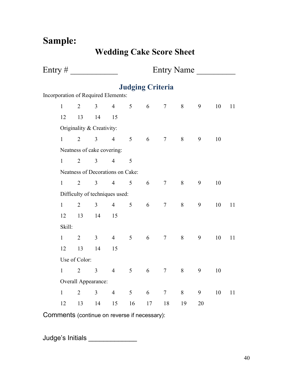**Wedding Cake Score Sheet**

|  |                                     |                |                                  |                | Entry Name              |                    |                  |                |                |        |    |  |  |  |
|--|-------------------------------------|----------------|----------------------------------|----------------|-------------------------|--------------------|------------------|----------------|----------------|--------|----|--|--|--|
|  |                                     |                |                                  |                | <b>Judging Criteria</b> |                    |                  |                |                |        |    |  |  |  |
|  | Incorporation of Required Elements: |                |                                  |                |                         |                    |                  |                |                |        |    |  |  |  |
|  | $\mathbf{1}$                        | $\overline{2}$ |                                  |                |                         | $3 \t 4 \t 5 \t 6$ | $7\overline{ }$  | $8\phantom{.}$ | $\overline{9}$ | 10     | 11 |  |  |  |
|  | 12                                  | 13             | 14                               | 15             |                         |                    |                  |                |                |        |    |  |  |  |
|  |                                     |                | Originality & Creativity:        |                |                         |                    |                  |                |                |        |    |  |  |  |
|  | $\mathbf{1}$                        | $\overline{2}$ |                                  | $3 \t 4 \t 5$  |                         | $6\overline{6}$    | $7\overline{ }$  | 8              | $\overline{9}$ | 10     |    |  |  |  |
|  |                                     |                | Neatness of cake covering:       |                |                         |                    |                  |                |                |        |    |  |  |  |
|  | $\mathbf{1}$                        | $\overline{2}$ | 3 <sup>1</sup>                   | $\overline{4}$ | $\mathfrak{S}$          |                    |                  |                |                |        |    |  |  |  |
|  |                                     |                | Neatness of Decorations on Cake: |                |                         |                    |                  |                |                |        |    |  |  |  |
|  | $\mathbf{1}$                        | $\overline{2}$ |                                  | $3 \t 4$       | 5 <sup>5</sup>          | 6                  | $7\phantom{.0}$  | $8\,$          | 9              | $10\,$ |    |  |  |  |
|  |                                     |                | Difficulty of techniques used:   |                |                         |                    |                  |                |                |        |    |  |  |  |
|  | $\mathbf{1}$                        | $\overline{2}$ | $\overline{3}$                   | $\overline{4}$ | 5                       | $\sqrt{6}$         | $\boldsymbol{7}$ | 8              | 9              | $10\,$ | 11 |  |  |  |
|  | 12                                  | 13             | 14                               | 15             |                         |                    |                  |                |                |        |    |  |  |  |
|  | Skill:                              |                |                                  |                |                         |                    |                  |                |                |        |    |  |  |  |
|  | $\mathbf{1}$                        | $\overline{2}$ | $\overline{3}$                   | $\overline{4}$ | $5\overline{)}$         | 6                  | $\overline{7}$   | 8              | 9              | $10\,$ | 11 |  |  |  |
|  | 12                                  | 13             | 14                               | 15             |                         |                    |                  |                |                |        |    |  |  |  |
|  |                                     | Use of Color:  |                                  |                |                         |                    |                  |                |                |        |    |  |  |  |
|  | $\mathbf{1}$                        | $\overline{2}$ | 3 <sup>1</sup>                   | $\overline{4}$ | $5\overline{)}$         | $\sqrt{6}$         | $\overline{7}$   | $8\,$          | $\overline{9}$ | $10\,$ |    |  |  |  |
|  |                                     |                | Overall Appearance:              |                |                         |                    |                  |                |                |        |    |  |  |  |
|  | $\mathbf{1}$                        | $\overline{2}$ | $\overline{3}$                   | $\overline{4}$ | $5\overline{)}$         | 6                  | $\tau$           | 8              | $\overline{9}$ | $10\,$ | 11 |  |  |  |
|  | 12                                  | 13             | 14                               | 15             | 16                      | 17                 | 18               | 19             | 20             |        |    |  |  |  |

Comments (continue on reverse if necessary):

Judge's Initials \_\_\_\_\_\_\_\_\_\_\_\_\_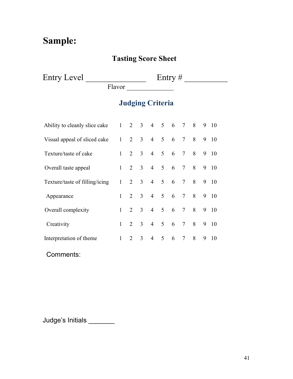### **Tasting Score Sheet**

Entry Level \_\_\_\_\_\_\_\_\_\_\_\_\_\_ Entry # \_\_\_\_\_\_\_\_\_\_

Flavor \_\_\_\_\_\_\_\_\_\_\_\_\_\_

### **Judging Criteria**

| Ability to cleanly slice cake 1 2 3 4 5 6 7 8 |              |                         |                |                     |                 |                 |   | 9 10 |
|-----------------------------------------------|--------------|-------------------------|----------------|---------------------|-----------------|-----------------|---|------|
| Visual appeal of sliced cake                  |              | $1 \t2 \t3 \t4 \t5 \t6$ |                |                     |                 | 7 8             |   | 9 10 |
| Texture/taste of cake                         |              | $1 \quad 2 \quad 3$     | $\overline{4}$ | 5 <sup>1</sup>      | $6\overline{6}$ | 7 8             |   | 9 10 |
| Overall taste appeal                          |              | $1 \t2 \t3 \t4 \t5$     |                |                     | $6\overline{6}$ | 7 8             |   | 9 10 |
| Texture/taste of filling/icing                |              | $1 \quad 2 \quad 3$     |                |                     |                 | 4 5 6 7 8       |   | 9 10 |
| Appearance                                    |              | 2 3                     |                | $4 \quad 5 \quad 6$ |                 | 7 8             |   | 9 10 |
| Overall complexity                            | 1            | $2 \quad 3$             | $\overline{4}$ | $5\overline{)}$     | $6\overline{6}$ | 7 8             |   | 9 10 |
| Creativity                                    | $\mathbf{1}$ | $2 \quad 3$             |                | $4\quad 5$          | $6\overline{6}$ | 7 8             |   | 9 10 |
| Interpretation of theme                       |              | $1 \quad 2 \quad 3$     | $\overline{4}$ | 5                   | $6\overline{6}$ | $7\overline{ }$ | 8 | 9 10 |

Comments:

Judge's Initials \_\_\_\_\_\_\_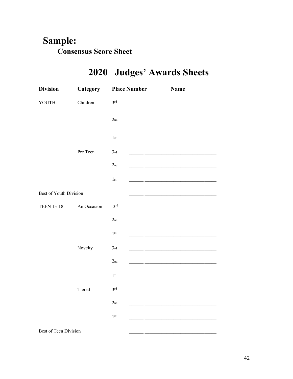### Sample: **Consensus Score Sheet**

| <b>Division</b>        | Category    | <b>Place Number</b>                     |                                                                                                                        | <b>Name</b>                                                                 |
|------------------------|-------------|-----------------------------------------|------------------------------------------------------------------------------------------------------------------------|-----------------------------------------------------------------------------|
| YOUTH:                 | Children    | 3 <sup>rd</sup>                         |                                                                                                                        |                                                                             |
|                        |             | 2 <sub>nd</sub>                         | <u> 1999 - Johann John Harry Harry Harry Harry Harry Harry Harry Harry Harry Harry Harry Harry Harry Harry Harry H</u> |                                                                             |
|                        |             | 1 <sub>st</sub>                         |                                                                                                                        | <u> 1990 - Jan Barbara (</u> 1990), prima politik († 1900)                  |
|                        | Pre Teen    | $\ensuremath{\mathfrak{Z}_{\text{rd}}}$ | <u> 1999 - Johann John Stone, mars et al. 1999 - 1999 - 1999 - 1999 - 1999 - 1999 - 1999 - 1999 - 1999 - 1999 - 1</u>  |                                                                             |
|                        |             | 2 <sub>nd</sub>                         |                                                                                                                        | <u> 1980 - Johann Stein, mars an deus an deus Amerikaansk kommunister (</u> |
|                        |             | 1 <sub>st</sub>                         |                                                                                                                        |                                                                             |
| Best of Youth Division |             |                                         |                                                                                                                        |                                                                             |
| <b>TEEN 13-18:</b>     | An Occasion | 3 <sup>rd</sup>                         |                                                                                                                        | <u> 1990 - Jan Barbara al III-lea (b. 1980)</u>                             |
|                        |             | 2 <sub>nd</sub>                         |                                                                                                                        |                                                                             |
|                        |             | 1 <sup>st</sup>                         |                                                                                                                        | <u> 1990 - Jan Alexandri, filozof eta idazlea (h. 1980).</u>                |
|                        | Novelty     | 3 <sub>rd</sub>                         |                                                                                                                        |                                                                             |
|                        |             | 2 <sub>nd</sub>                         | <u> 1950 - John Stein, mars et al. 1950 - 1950 - 1950 - 1950 - 1950 - 1950 - 1950 - 1950 - 1950 - 1950 - 1950 - 1</u>  |                                                                             |
|                        |             | 1 <sup>st</sup>                         |                                                                                                                        |                                                                             |
|                        | Tiered      | 3 <sup>rd</sup>                         |                                                                                                                        |                                                                             |
|                        |             | 2 <sub>nd</sub>                         |                                                                                                                        |                                                                             |
|                        |             | 1 <sup>st</sup>                         |                                                                                                                        |                                                                             |
| Best of Teen Division  |             |                                         |                                                                                                                        |                                                                             |

# 2020 Judges' Awards Sheets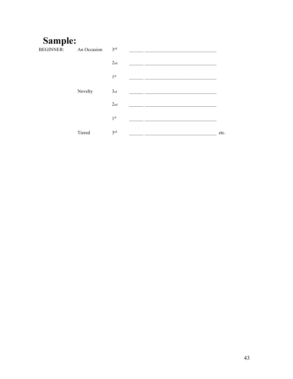| <b>BEGINNER:</b> | An Occasion | 3 <sup>rd</sup> |      |
|------------------|-------------|-----------------|------|
|                  |             | 2 <sub>nd</sub> |      |
|                  |             | $1^{\rm{st}}$   |      |
|                  | Novelty     | 3rd             |      |
|                  |             | 2 <sub>nd</sub> |      |
|                  |             | 1 <sup>st</sup> |      |
|                  | Tiered      | 3 <sup>rd</sup> | etc. |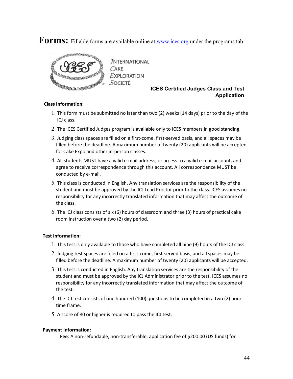Forms: Fillable forms are available online at **[www.ices.org](http://www.ices.org/)** under the programs tab.



#### **ICES Certified Judges Class and Test Application**

#### **Class Information:**

- 1. This form must be submitted no laterthan two (2) weeks (14 days) prior to the day of the ICJ class.
- 2. The ICES Certified Judges program is available onlyto ICES members in good standing.
- 3. Judging class spaces are filled on a first-come, first-served basis, and all spaces may be filled before the deadline. A maximum number of twenty (20) applicants will be accepted for Cake Expo and other in-person classes.
- 4. All students MUST have a valid e-mail address, or access to a valid e-mail account, and agree to receive correspondence through this account. All correspondence MUST be conducted by e-mail.
- 5. This class is conducted in English. Any translation services are the responsibility of the student and must be approved by the ICJ Lead Proctor prior to the class. ICES assumes no responsibility for any incorrectly translated information that may affect the outcome of the class.
- 6. The ICJ class consists of six (6) hours of classroom and three (3) hours of practical cake room instruction over a two (2) day period.

#### **Test Information:**

- 1. This test is only available to those who have completed all nine (9) hours of the ICJ class.
- 2. Judging test spaces are filled on a first-come, first-served basis, and all spaces may be filled before the deadline. A maximum number of twenty (20) applicants will be accepted.
- 3. This test is conducted in English. Any translation services are the responsibility of the student and must be approved by the ICJ Administrator prior to the test. ICES assumes no responsibility for any incorrectly translated information that may affect the outcome of the test.
- 4. The ICJ test consists of one hundred (100) questions to be completed in a two (2) hour time frame.
- 5. A score of 80 or higher is required to pass the ICJ test.

#### **Payment Information:**

**Fee**: A non-refundable, non-transferable, application fee of \$200.00 (US funds) for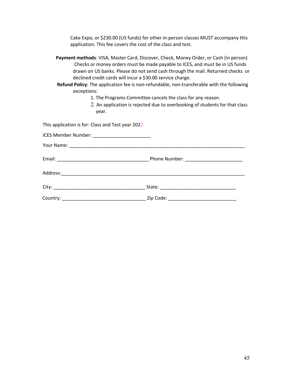Cake Expo, or \$230.00 (US funds) for other in-person classes MUST accompany this application. This fee covers the cost of the class and test.

| Payment methods: VISA, Master Card, Discover, Check, Money Order, or Cash (in person) |
|---------------------------------------------------------------------------------------|
| Checks or money orders must be made payable to ICES, and must be in US funds          |
| drawn on US banks. Please do not send cash through the mail. Returned checks or       |
| declined credit cards will incur a \$30.00 service charge.                            |

**Refund Policy**: The application fee is non-refundable, non-transferable with the following exceptions:

1. The Programs Committee cancels the class for any reason.

2. An application is rejected due to overbooking of students for that class year.

This application is for: Class and Test year 2022

| ICES Member Number: _________________________ |  |
|-----------------------------------------------|--|
|                                               |  |
|                                               |  |
|                                               |  |
|                                               |  |
| Country:                                      |  |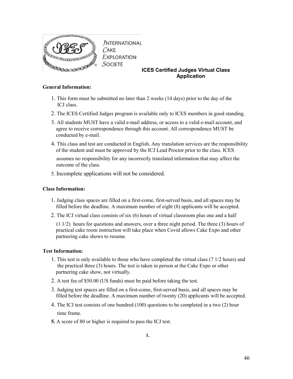

#### **ICES Certified Judges Virtual Class Application**

#### **General Information:**

- 1. This form must be submitted no later than 2 weeks (14 days) prior to the day of the ICJ class.
- 2. The ICES Certified Judges program is available only to ICES members in good standing.
- 3. All students MUST have a valid e-mail address, or access to a valid e-mail account, and agree to receive correspondence through this account. All correspondence MUST be conducted by e-mail.
- 4. This class and test are conducted in English. Any translation services are the responsibility of the student and must be approved by the ICJ Lead Proctor prior to the class. ICES

assumes no responsibility for any incorrectly translated information that may affect the outcome of the class.

5. Incomplete applications will not be considered.

#### **Class Information:**

- 1. Judging class spaces are filled on a first-come, first-served basis, and all spaces may be filled before the deadline. A maximum number of eight (8) applicants will be accepted.
- 2. The ICJ virtual class consists of six  $(6)$  hours of virtual classroom plus one and a half

(1 1/2) hours for questions and answers, over a three night period. The three (3) hours of practical cake room instruction will take place when Covid allows Cake Expo and other partnering cake shows to resume.

#### **Test Information:**

- 1. This test is only available to those who have completed the virtual class (7 1/2 hours) and the practical three (3) hours. The test is taken in person at the Cake Expo or other partnering cake show, not virtually.
- 2. A test fee of \$50.00 (US funds) must be paid before taking the test.
- 3. Judging test spaces are filled on a first-come, first-served basis, and all spaces may be filled before the deadline. A maximum number of twenty (20) applicants will be accepted.
- 4. The ICJ test consists of one hundred (100) questions to be completed in a two (2) hour time frame.
- **5.** A score of 80 or higher is required to pass the ICJ test.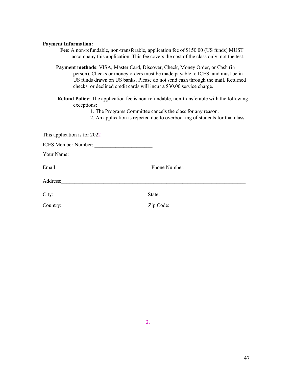#### **Payment Information:**

| Fee: A non-refundable, non-transferable, application fee of \$150.00 (US funds) MUST  |
|---------------------------------------------------------------------------------------|
| accompany this application. This fee covers the cost of the class only, not the test. |

**Payment methods**: VISA, Master Card, Discover, Check, Money Order, or Cash (in person). Checks or money orders must be made payable to ICES, and must be in US funds drawn on US banks. Please do not send cash through the mail. Returned checks or declined credit cards will incur a \$30.00 service charge.

**Refund Policy**: The application fee is non-refundable, non-transferable with the following exceptions:

1. The Programs Committee cancels the class for any reason.

2. An application is rejected due to overbooking of students for that class.

| This application is for 2022 |               |  |
|------------------------------|---------------|--|
| ICES Member Number:          |               |  |
|                              |               |  |
| Email:                       | Phone Number: |  |
|                              |               |  |
| City:                        | State:        |  |
| Country:                     | Zip Code:     |  |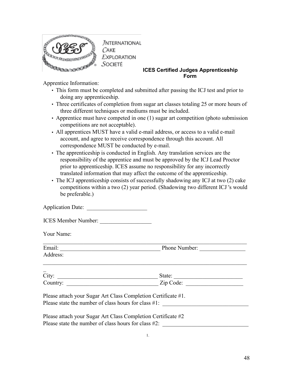

#### **ICES Certified Judges Apprenticeship Form**

Apprentice Information:

- This form must be completed and submitted after passing the ICJ test and prior to doing any apprenticeship.
- Three certificates of completion from sugar art classes totaling 25 or more hours of three different techniques or mediums must be included.
- Apprentice must have competed in one (1) sugar art competition (photo submission competitions are not acceptable).
- All apprentices MUST have a valid e-mail address, or access to a valid e-mail account, and agree to receive correspondence through this account. All correspondence MUST be conducted by e-mail.
- The apprenticeship is conducted in English. Any translation services are the responsibility of the apprentice and must be approved by the ICJ Lead Proctor prior to apprenticeship. ICES assume no responsibility for any incorrectly translated information that may affect the outcome of the apprenticeship.
- The ICJ apprenticeship consists of successfully shadowing any ICJ at two  $(2)$  cake competitions within a two (2) year period. (Shadowing two different ICJ 's would be preferable.)

| <b>Application Date:</b> |  |  |
|--------------------------|--|--|
|--------------------------|--|--|

Your Name:

| Email:                   | Phone Number: |
|--------------------------|---------------|
| Address:                 |               |
| $\qquad \qquad$<br>City: | State:        |

| $\mathsf{u}$ | . |
|--------------|---|
| ~            | – |

Please attach your Sugar Art Class Completion Certificate #1.

Please state the number of class hours for class  $\#1$ :

Please attach your Sugar Art Class Completion Certificate #2 Please state the number of class hours for class  $#2$ :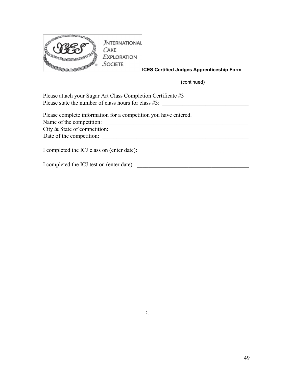

**ICES Certified Judges Apprenticeship Form**

**(**continued)

| Please attach your Sugar Art Class Completion Certificate #3    |  |
|-----------------------------------------------------------------|--|
| Please state the number of class hours for class $#3$ :         |  |
| Please complete information for a competition you have entered. |  |
| Name of the competition:                                        |  |
|                                                                 |  |
| Date of the competition:                                        |  |
| I completed the ICJ class on (enter date):                      |  |
| I completed the ICJ test on (enter date):                       |  |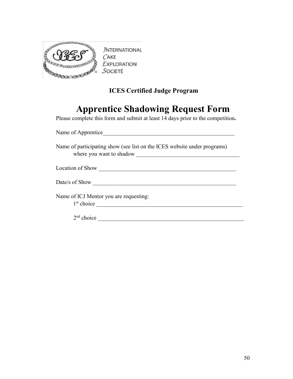

**JNTERNATIONAL**  $CAKE$ **EXPLORATION** SOCIETÉ

### **ICES Certified Judge Program**

### **Apprentice Shadowing Request Form**

Please complete this form and submit at least 14 days prior to the competition.

| Name of Apprentice                                                                         |  |
|--------------------------------------------------------------------------------------------|--|
| Name of participating show (see list on the ICES website under programs)                   |  |
|                                                                                            |  |
| Date/s of Show                                                                             |  |
| Name of ICJ Mentor you are requesting:<br>$1st choice$ and $\overline{\phantom{a}}$ choice |  |
| $2nd$ choice                                                                               |  |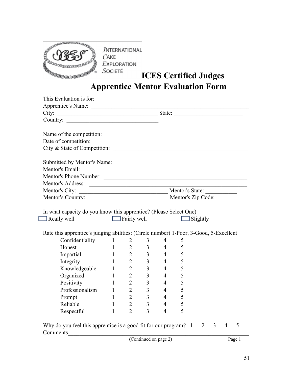

**JNTERNATIONAL**  $CAKE$ **EXPLORATION**  $S$ OCIETÉ

# **ICES Certified Judges**

### **Apprentice Mentor Evaluation Form**

| Country:                                                                                                        |                                       |                |                                  |                                  |        |  |  |
|-----------------------------------------------------------------------------------------------------------------|---------------------------------------|----------------|----------------------------------|----------------------------------|--------|--|--|
|                                                                                                                 |                                       |                |                                  |                                  |        |  |  |
| Name of the competition:                                                                                        |                                       |                |                                  |                                  |        |  |  |
|                                                                                                                 |                                       |                |                                  |                                  |        |  |  |
|                                                                                                                 |                                       |                |                                  |                                  |        |  |  |
|                                                                                                                 |                                       |                |                                  |                                  |        |  |  |
|                                                                                                                 |                                       |                |                                  |                                  |        |  |  |
| Mentor's Phone Number:                                                                                          |                                       |                |                                  |                                  |        |  |  |
|                                                                                                                 |                                       |                |                                  |                                  |        |  |  |
|                                                                                                                 |                                       |                |                                  |                                  |        |  |  |
|                                                                                                                 |                                       |                |                                  |                                  |        |  |  |
| In what capacity do you know this apprentice? (Please Select One)<br>Fairly well Slightly<br>$\Box$ Really well |                                       |                |                                  |                                  |        |  |  |
| Rate this apprentice's judging abilities: (Circle number) 1-Poor, 3-Good, 5-Excellent                           |                                       |                |                                  |                                  |        |  |  |
| Confidentiality 1 2                                                                                             |                                       |                | 3 <sup>7</sup>                   | $\overline{4}$                   | 5      |  |  |
| Honest $1 \t 2$                                                                                                 |                                       |                | 3 <sup>7</sup>                   | $\overline{4}$                   | 5      |  |  |
| Impartial 1 2                                                                                                   |                                       |                | 3 <sup>1</sup>                   | $4 \quad 5$                      |        |  |  |
|                                                                                                                 |                                       |                | 3 <sup>1</sup>                   | $\overline{4}$<br>$\overline{4}$ | 5      |  |  |
| Integrity 1 2<br>Knowledgeable 1 2                                                                              |                                       | 2              | 3 <sup>1</sup><br>3 <sup>1</sup> | $\overline{4}$                   | 5<br>5 |  |  |
| Organized 1<br>Positivity                                                                                       | 1                                     | $\overline{2}$ | 3 <sup>1</sup>                   | $\overline{4}$                   | 5      |  |  |
| Professionalism 1                                                                                               |                                       | 2              | 3 <sup>1</sup>                   | $\overline{4}$                   | 5      |  |  |
|                                                                                                                 |                                       | $\overline{2}$ |                                  | $\overline{4}$                   | 5      |  |  |
| Prompt<br>Reliable                                                                                              | $\begin{array}{c} 1 \\ 1 \end{array}$ | $\overline{2}$ | 3 <sup>1</sup><br>3 <sup>7</sup> | $\overline{4}$                   | 5      |  |  |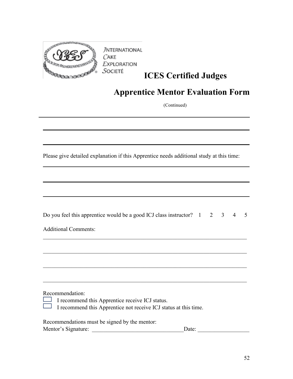

**JNTERNATIONAL**  $C$ AKE **EXPLORATION** SOCIETÉ

### **ICES Certified Judges**

### **Apprentice Mentor Evaluation Form**

(Continued)

 $\mathcal{L}_\mathcal{L} = \mathcal{L}_\mathcal{L} = \mathcal{L}_\mathcal{L} = \mathcal{L}_\mathcal{L} = \mathcal{L}_\mathcal{L} = \mathcal{L}_\mathcal{L} = \mathcal{L}_\mathcal{L} = \mathcal{L}_\mathcal{L} = \mathcal{L}_\mathcal{L} = \mathcal{L}_\mathcal{L} = \mathcal{L}_\mathcal{L} = \mathcal{L}_\mathcal{L} = \mathcal{L}_\mathcal{L} = \mathcal{L}_\mathcal{L} = \mathcal{L}_\mathcal{L} = \mathcal{L}_\mathcal{L} = \mathcal{L}_\mathcal{L}$ 

 $\mathcal{L}_\mathcal{L}$  , and the contribution of the contribution of the contribution of the contribution of the contribution of the contribution of the contribution of the contribution of the contribution of the contribution of

 $\mathcal{L}_\mathcal{L}$  , and the contribution of the contribution of the contribution of the contribution of the contribution of the contribution of the contribution of the contribution of the contribution of the contribution of

Please give detailed explanation if this Apprentice needs additional study at this time:

Additional Comments:

Recommendation:

- I recommend this Apprentice receive ICJ status.
- I recommend this Apprentice not receive ICJ status at this time.  $\overline{\phantom{a}}$

Recommendations must be signed by the mentor:

| Mentor's Signature: |  |
|---------------------|--|
|                     |  |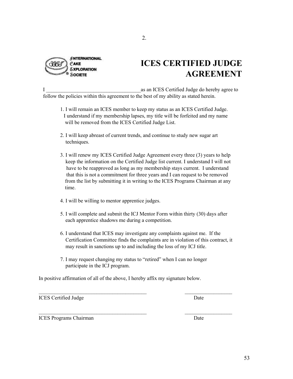

### **ICES CERTIFIED JUDGE AGREEMENT**

I as an ICES Certified Judge do hereby agree to follow the policies within this agreement to the best of my ability as stated herein.

- 1. I will remain an ICES member to keep my status as an ICES Certified Judge. I understand if my membership lapses, my title will be forfeited and my name will be removed from the ICES Certified Judge List.
- 2. I will keep abreast of current trends, and continue to study new sugar art techniques.
- 3. I will renew my ICES Certified Judge Agreement every three (3) years to help keep the information on the Certified Judge list current. I understand I will not have to be reapproved as long as my membership stays current. I understand that this is not a commitment for three years and I can request to be removed from the list by submitting it in writing to the ICES Programs Chairman at any time.
- 4. I will be willing to mentor apprentice judges.
- 5. I will complete and submit the ICJ Mentor Form within thirty (30) days after each apprentice shadows me during a competition.
- 6. I understand that ICES may investigate any complaints against me. If the Certification Committee finds the complaints are in violation of this contract, it may result in sanctions up to and including the loss of my ICJ title.

 $\mathcal{L}_\text{max}$  , and the contract of the contract of the contract of the contract of the contract of the contract of the contract of the contract of the contract of the contract of the contract of the contract of the contr

 $\overline{\phantom{a}}$  , and the contribution of the contribution of the contribution of  $\overline{\phantom{a}}$  , and  $\overline{\phantom{a}}$  , and  $\overline{\phantom{a}}$ 

7. I may request changing my status to "retired" when I can no longer participate in the ICJ program.

In positive affirmation of all of the above, I hereby affix my signature below.

ICES Certified Judge Date

ICES Programs Chairman Date